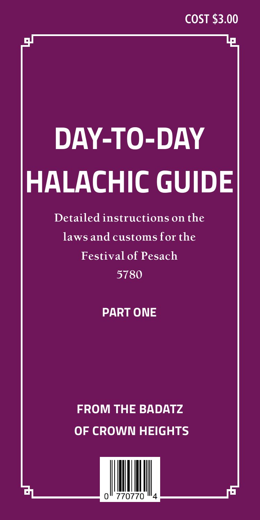# **DAY-TO-DAY HALACHIC GUIDE**

**Detailed instructions on the laws and customs for the Festival of Pesach 5780**

# **PART ONE**

# **FROM THE BADATZ OF CROWN HEIGHTS**



ш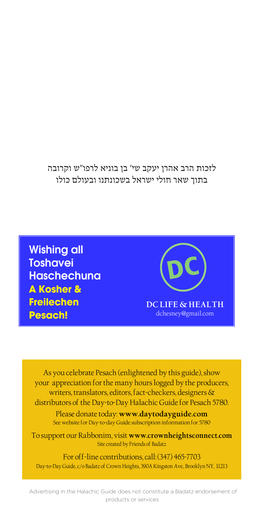לזכות הרב אהרן יעקב שי׳ בן בוניא לרפו״ש וקרובה בתוך שאר חולי ישראל בשכונתנו ובעולם כולו

Wishing all **Toshavei** Haschechuna **A Kosher & Freilechen Pesach!**

DC **DC LIFE & HEALTH** dchesney@gmail.com

As you celebrate Pesach (enlightened by this guide), show your appreciation for the many hours logged by the producers, writers, translators, editors, fact-checkers, designers & distributors of the Day-to-Day Halachic Guide for Pesach 5780.

Please donate today: **www.daytodayguide.com** See website for Day-to-day Guide subscription information for 5780

To support our Rabbonim, visit **www.crownheightsconnect.com** Site created by Friends of Badatz

For off-line contributions, call: (347) 465-7703 Day-to-Day Guide, c/o Badatz of Crown Heights, 390A Kingston Ave., Brooklyn NY, 11213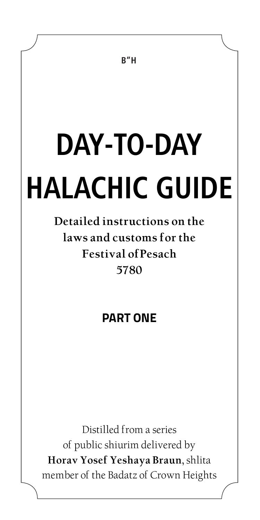# **DAY-TO-DAY HALACHIC GUIDE**

**Detailed instructions on the laws and customs for the Festival ofPesach 5780**

# **PART ONE**

Distilled from a series of public shiurim delivered by **Horav Yosef Yeshaya Braun,** shlita member of the Badatz of Crown Heights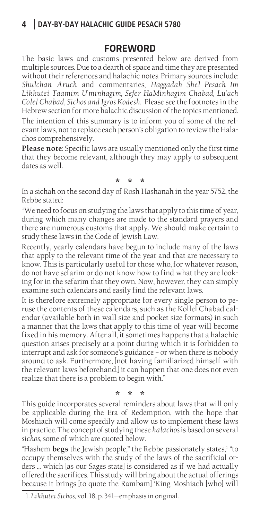#### **FOREWORD**

The basic laws and customs presented below are derived from multiple sources. Due to a dearth of space and time they are presented without their references and halachic notes. Primary sources include: *Shulchan Aruch* and commentaries, *Haggadah Shel Pesach Im Likkutei Taamim U*'*minhagim, Sefer HaMinhagim Chabad, Lu'ach Colel Chabad, Sichos and Igros Kodesh.* Please see the footnotes in the Hebrew section for more halachic discussion of the topics mentioned. The intention of this summary is to inform you of some of the relevant laws, not to replace each person's obligation to review the Halachos comprehensively.

**Please note**: Specific laws are usually mentioned only the first time that they become relevant, although they may apply to subsequent dates as well.

### **\* \* \***

In a sichah on the second day of Rosh Hashanah in the year 5752, the Rebbe stated:

"We need to focus on studying the laws that apply to this time of year, during which many changes are made to the standard prayers and there are numerous customs that apply. We should make certain to study these laws in the Code of Jewish Law.

Recently, yearly calendars have begun to include many of the laws that apply to the relevant time of the year and that are necessary to know. This is particularly useful for those who, for whatever reason, do not have sefarim or do not know how to find what they are looking for in the sefarim that they own. Now, however, they can simply examine such calendars and easily find the relevant laws.

It is therefore extremely appropriate for every single person to peruse the contents of these calendars, such as the Kollel Chabad calendar (available both in wall size and pocket size formats) in such a manner that the laws that apply to this time of year will become fixed in his memory. After all, it sometimes happens that a halachic question arises precisely at a point during which it is forbidden to interrupt and ask for someone's guidance – or when there is nobody around to ask. Furthermore, [not having familiarized himself with the relevant laws beforehand,] it can happen that one does not even realize that there is a problem to begin with."

**\* \* \***

This guide incorporates several reminders about laws that will only be applicable during the Era of Redemption, with the hope that Moshiach will come speedily and allow us to implement these laws in practice. The concept of studying these *halachos* is based on several *sichos*, some of which are quoted below.

"Hashem **begs** the Jewish people," the Rebbe passionately states,<sup>1</sup> "to occupy themselves with the study of the laws of the sacrificial orders … which [as our Sages state] is considered as if we had actually offered the sacrifices. This study will bring about the actual offerings because it brings [to quote the Rambam] 'King Moshiach [who] will

<sup>1.</sup> *Likkutei Sichos*, vol. 18, p. 341—emphasis in original.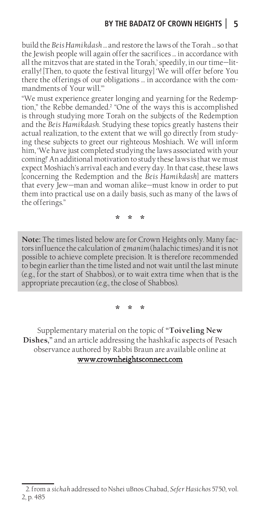build the *Beis Hamikdash* … and restore the laws of the Torah … so that the Jewish people will again offer the sacrifices … in accordance with all the mitzvos that are stated in the Torah,' speedily, in our time—literally! [Then, to quote the festival liturgy] 'We will offer before You there the offerings of our obligations … in accordance with the commandments of Your will.'"

"We must experience greater longing and yearning for the Redemption," the Rebbe demanded.<sup>2</sup> "One of the ways this is accomplished is through studying more Torah on the subjects of the Redemption and the *Beis Hamikdash*. Studying these topics greatly hastens their actual realization, to the extent that we will go directly from studying these subjects to greet our righteous Moshiach. We will inform him, 'We have just completed studying the laws associated with your coming!' An additional motivation to study these laws is that we must expect Moshiach's arrival each and every day. In that case, these laws [concerning the Redemption and the *Beis Hamikdash*] are matters that every Jew—man and woman alike—must know in order to put them into practical use on a daily basis, such as many of the laws of the offerings."

**\* \* \***

**Note:** The times listed below are for Crown Heights only. Many factors influence the calculation of *zmanim* (halachic times) and it is not possible to achieve complete precision. It is therefore recommended to begin earlier than the time listed and not wait until the last minute (e.g., for the start of Shabbos), or to wait extra time when that is the appropriate precaution (e.g., the close of Shabbos).

**\* \* \***

Supplementary material on the topic of **"Toiveling New Dishes,"** and an article addressing the hashkafic aspects of Pesach observance authored by Rabbi Braun are available online at

www.crownheightsconnect.com

<sup>2.</sup>from a *sichah* addressed to Nshei uBnos Chabad, *Sefer Hasichos* 5750, vol. 2, p. 485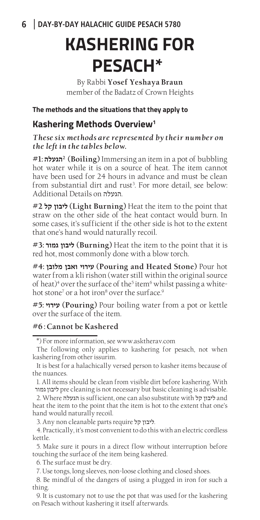# **KASHERING FOR PESACH\***

By Rabbi **Yosef Yeshaya Braun** member of the Badatz of Crown Heights

**The methods and the situations that they apply to**

#### **Kashering Methods Overview1**

*These six methods are represented by their number on the left in the tables below.*

**#1: הגעלה2) Boiling)** Immersing an item in a pot of bubbling hot water while it is on a source of heat. The item cannot have been used for 24 hours in advance and must be clean from substantial dirt and rust3 . For more detail, see below: Additional Details on הגעלה.

**#2 קל ליבון) Light Burning)** Heat the item to the point that straw on the other side of the heat contact would burn. In some cases, it's sufficient if the other side is hot to the extent that one's hand would naturally recoil.

**#3: גמור ליבון) Burning)** Heat the item to the point that it is red hot, most commonly done with a blow torch.

**#4: מלובן ואבן עירוי) Pouring and Heated Stone)** Pour hot water from a kli rishon (water still within the original source of heat)<sup>4</sup> over the surface of the<sup>5</sup> item<sup>6</sup> whilst passing a whitehot stone<sup>7</sup> or a hot iron<sup>8</sup> over the surface.<sup>9</sup>

**#5: עירוי) Pouring)** Pour boiling water from a pot or kettle over the surface of the item.

#### **#6 : Cannot be Kashered**

1. All items should be clean from visible dirt before kashering. With

גמור ליבון pre cleaning is not necessary but basic cleaning is advisable.

2. Where הגעלה is sufficient, one can also substitute with ליבון קל heat the item to the point that the item is hot to the extent that one's hand would naturally recoil.

3. Any non cleanable parts require ליבון קל.

4. Practically, it's most convenient to do this with an electric cordless kettle.

5. Make sure it pours in a direct flow without interruption before touching the surface of the item being kashered.

6. The surface must be dry.

7. Use tongs, long sleeves, non-loose clothing and closed shoes.

8. Be mindful of the dangers of using a plugged in iron for such a thing.

9. It is customary not to use the pot that was used for the kashering on Pesach without kashering it itself afterwards.

<sup>\*)</sup> For more information, see www.asktherav.com

The following only applies to kashering for pesach, not when kashering from other issurim.

It is best for a halachically versed person to kasher items because of the nuances.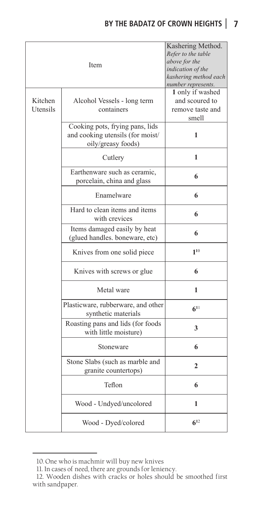### **BY THE BADATZ OF CROWN HEIGHTS 7**

| Kitchen<br>Utensils | Item<br>Alcohol Vessels - long term<br>containers                                         | Kashering Method.<br>Refer to the table<br>above for the<br>indication of the<br>kashering method each<br>number represents.<br>1 only if washed<br>and scoured to<br>remove taste and |
|---------------------|-------------------------------------------------------------------------------------------|----------------------------------------------------------------------------------------------------------------------------------------------------------------------------------------|
|                     | Cooking pots, frying pans, lids<br>and cooking utensils (for moist/<br>oily/greasy foods) | smell<br>1                                                                                                                                                                             |
|                     | Cutlery                                                                                   | 1                                                                                                                                                                                      |
|                     | Earthenware such as ceramic,<br>porcelain, china and glass                                | 6                                                                                                                                                                                      |
|                     | Enamelware                                                                                | 6                                                                                                                                                                                      |
|                     | Hard to clean items and items<br>with crevices                                            | 6                                                                                                                                                                                      |
|                     | Items damaged easily by heat<br>(glued handles. boneware, etc)                            | 6                                                                                                                                                                                      |
|                     | Knives from one solid piece                                                               | $1^{10}$                                                                                                                                                                               |
|                     | Knives with screws or glue                                                                | 6                                                                                                                                                                                      |
|                     | Metal ware                                                                                | 1                                                                                                                                                                                      |
|                     | Plasticware, rubberware, and other<br>synthetic materials                                 | $6^{11}$                                                                                                                                                                               |
|                     | Roasting pans and lids (for foods<br>with little moisture)                                | 3                                                                                                                                                                                      |
|                     | Stoneware                                                                                 | 6                                                                                                                                                                                      |
|                     | Stone Slabs (such as marble and<br>granite countertops)                                   | 2                                                                                                                                                                                      |
|                     | Teflon                                                                                    | 6                                                                                                                                                                                      |
|                     | Wood - Undyed/uncolored                                                                   | 1                                                                                                                                                                                      |
|                     | Wood - Dyed/colored                                                                       | $6^{12}$                                                                                                                                                                               |

<sup>10.</sup> One who is machmir will buy new knives

<sup>11.</sup> In cases of need, there are grounds for leniency.

<sup>12.</sup> Wooden dishes with cracks or holes should be smoothed first with sandpaper.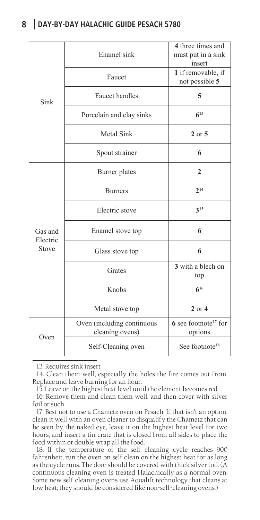| Sink                         | Enamel sink                                   | 4 three times and<br>must put in a sink<br>insert |
|------------------------------|-----------------------------------------------|---------------------------------------------------|
|                              | Faucet                                        | 1 if removable, if<br>not possible 5              |
|                              | <b>Faucet</b> handles                         | 5                                                 |
|                              | Porcelain and clay sinks                      | $6^{13}$                                          |
|                              | Metal Sink                                    | $2$ or $5$                                        |
|                              | Spout strainer                                | 6                                                 |
| Gas and<br>Electric<br>Stove | Burner plates                                 | $\mathbf{2}$                                      |
|                              | <b>Burners</b>                                | $2^{14}$                                          |
|                              | Electric stove                                | $3^{15}$                                          |
|                              | Enamel stove top                              | 6                                                 |
|                              | Glass stove top                               | 6                                                 |
|                              | Grates                                        | 3 with a blech on<br>top                          |
|                              | Knobs                                         | $6^{16}$                                          |
|                              | Metal stove top                               | $2$ or $4$                                        |
| Oven                         | Oven (including continuous<br>cleaning ovens) | $6$ see footnote <sup>17</sup> for<br>options     |
|                              | Self-Cleaning oven                            | See footnote <sup>18</sup>                        |

13. Requires sink insert

14. Clean them well, especially the holes the fire comes out from. Replace and leave burning for an hour.

15. Leave on the highest heat level until the element becomes red.

16. Remove them and clean them well, and then cover with silver foil or such.

17. Best not to use a Chametz oven on Pesach. If that isn't an option, clean it well with an oven cleaner to disqualify the Chametz that can be seen by the naked eye, leave it on the highest heat level for two hours, and insert a tin crate that is closed from all sides to place the food within or double wrap all the food.

18. If the temperature of the self cleaning cycle reaches 900 fahrenheit, run the oven on self clean on the highest heat for as long as the cycle runs. The door should be covered with thick silver foil. (A continuous cleaning oven is treated Halachically as a normal oven. Some new self cleaning ovens use Aqualift technology that cleans at low heat; they should be considered like non-self-cleaning ovens.)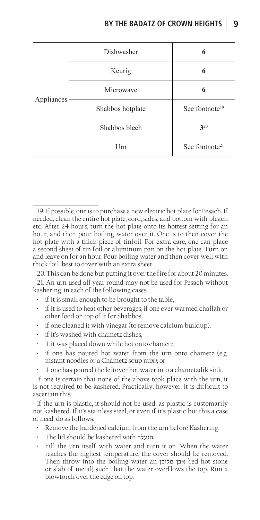| Appliances | Dishwasher       |                            |
|------------|------------------|----------------------------|
|            | Keurig           |                            |
|            | Microwave        |                            |
|            | Shabbos hotplate | See footnote <sup>19</sup> |
|            | Shabbos blech    | 320                        |
|            | Urn              | See footnote <sup>21</sup> |

20. This can be done but putting it over the fire for about 20 minutes.

- if it is small enough to be brought to the table,
- if it is used to heat other beverages, if one ever warmed challah or other food on top of it for Shabbos,
- if one cleaned it with vinegar (to remove calcium buildup),
- if it's washed with chametz dishes,
- if it was placed down while hot onto chametz,
- if one has poured hot water from the urn onto chametz (e.g. instant noodles or a Chametz soup mix), or
- if one has poured the leftover hot water into a chametzdik sink.

If one is certain that none of the above took place with the urn, it is not required to be kashered. Practically, however, it is difficult to ascertain this.

If the urn is plastic, it should not be used, as plastic is customarily not kashered. If it's stainless steel, or even if it's plastic but this a case of need, do as follows:

- Remove the hardened calcium from the urn before Kashering.
- The lid should be kashered with הגעלה.
- Fill the urn itself with water and turn it on. When the water reaches the highest temperature, the cover should be removed. Then throw into the boiling water an אבן מלובן [red hot stone or slab of metal] such that the water overflows the top. Run a blowtorch over the edge on top.

<sup>19.</sup> If possible, one is to purchase a new electric hot plate for Pesach. If needed, clean the entire hot plate, cord, sides, and bottom with bleach etc. After 24 hours, turn the hot plate onto its hottest setting for an hour, and then pour boiling water over it. One is to then cover the hot plate with a thick piece of tinfoil. For extra care, one can place a second sheet of tin foil or aluminum pan on the hot plate. Turn on and leave on for an hour. Pour boiling water and then cover well with thick foil. best to cover with an extra sheet.

<sup>21.</sup> An urn used all year round may not be used for Pesach without kashering, in each of the following cases: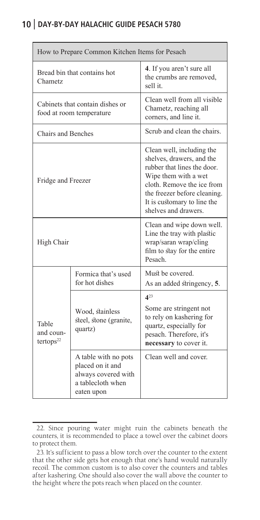| How to Prepare Common Kitchen Items for Pesach              |                                                                                                    |                                                                                                                                                                                                                                    |  |  |
|-------------------------------------------------------------|----------------------------------------------------------------------------------------------------|------------------------------------------------------------------------------------------------------------------------------------------------------------------------------------------------------------------------------------|--|--|
| Bread bin that contains hot<br>Chametz                      |                                                                                                    | 4. If you aren't sure all<br>the crumbs are removed,<br>sell it.                                                                                                                                                                   |  |  |
| Cabinets that contain dishes or<br>food at room temperature |                                                                                                    | Clean well from all visible<br>Chametz, reaching all<br>corners, and line it.                                                                                                                                                      |  |  |
| Chairs and Benches                                          |                                                                                                    | Scrub and clean the chairs.                                                                                                                                                                                                        |  |  |
| Fridge and Freezer                                          |                                                                                                    | Clean well, including the<br>shelves, drawers, and the<br>rubber that lines the door.<br>Wipe them with a wet<br>cloth. Remove the ice from<br>the freezer before cleaning.<br>It is customary to line the<br>shelves and drawers. |  |  |
| High Chair                                                  |                                                                                                    | Clean and wipe down well.<br>Line the tray with plastic<br>wrap/saran wrap/cling<br>film to stay for the entire<br>Pesach.                                                                                                         |  |  |
| Table<br>and coun-<br>tertops <sup>22</sup>                 | Formica that's used<br>for hot dishes                                                              | Must be covered.<br>As an added stringency, 5.                                                                                                                                                                                     |  |  |
|                                                             | Wood, stainless<br>steel, stone (granite,<br>quartz)                                               | $4^{23}$<br>Some are stringent not<br>to rely on kashering for<br>quartz, especially for<br>pesach. Therefore, it's<br>necessary to cover it.                                                                                      |  |  |
|                                                             | A table with no pots<br>placed on it and<br>always covered with<br>a tablecloth when<br>eaten upon | Clean well and cover.                                                                                                                                                                                                              |  |  |

<sup>22.</sup> Since pouring water might ruin the cabinets beneath the counters, it is recommended to place a towel over the cabinet doors to protect them.

<sup>23.</sup> It's sufficient to pass a blow torch over the counter to the extent that the other side gets hot enough that one's hand would naturally recoil. The common custom is to also cover the counters and tables after kashering. One should also cover the wall above the counter to the height where the pots reach when placed on the counter.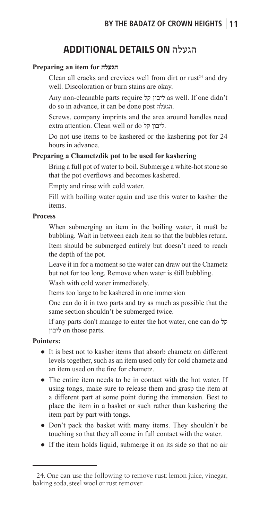# **ADDITIONAL DETAILS ON** הגעלה

#### **Preparing an item for הגעלה**

Clean all cracks and crevices well from dirt or  $rust^{24}$  and dry well. Discoloration or burn stains are okay.

Any non-cleanable parts require ליבון קל as well. If one didn't do so in advance, it can be done post הגעלה.

Screws, company imprints and the area around handles need extra attention. Clean well or do ליבון קל.

Do not use items to be kashered or the kashering pot for 24 hours in advance.

#### **Preparing a Chametzdik pot to be used for kashering**

Bring a full pot of water to boil. Submerge a white-hot stone so that the pot overflows and becomes kashered.

Empty and rinse with cold water.

Fill with boiling water again and use this water to kasher the items.

#### **Process**

When submerging an item in the boiling water, it must be bubbling. Wait in between each item so that the bubbles return. Item should be submerged entirely but doesn't need to reach the depth of the pot.

Leave it in for a moment so the water can draw out the Chametz but not for too long. Remove when water is still bubbling.

Wash with cold water immediately.

Items too large to be kashered in one immersion

One can do it in two parts and try as much as possible that the same section shouldn't be submerged twice.

If any parts don't manage to enter the hot water, one can do קל ליבון on those parts.

#### **Pointers:**

- It is best not to kasher items that absorb chametz on different levels together, such as an item used only for cold chametz and an item used on the fire for chametz.
- The entire item needs to be in contact with the hot water. If using tongs, make sure to release them and grasp the item at a different part at some point during the immersion. Best to place the item in a basket or such rather than kashering the item part by part with tongs.
- Don't pack the basket with many items. They shouldn't be touching so that they all come in full contact with the water.
- If the item holds liquid, submerge it on its side so that no air

<sup>24.</sup> One can use the following to remove rust: lemon juice, vinegar, baking soda, steel wool or rust remover.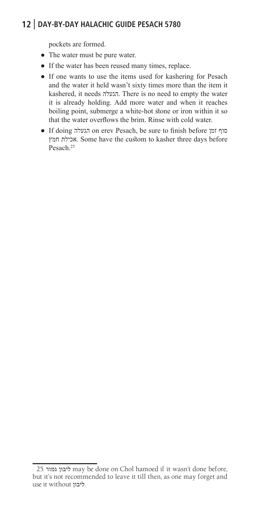pockets are formed.

- The water must be pure water.
- If the water has been reused many times, replace.
- If one wants to use the items used for kashering for Pesach and the water it held wasn't sixty times more than the item it kashered, it needs הגעלה. There is no need to empty the water it is already holding. Add more water and when it reaches boiling point, submerge a white-hot stone or iron within it so that the water overflows the brim. Rinse with cold water.
- If doing הגעלה on erev Pesach, be sure to finish before זמן סוף חמץ אכילת. Some have the custom to kasher three days before Pesach.<sup>25</sup>

<sup>25.</sup> גמור ליבון may be done on Chol hamoed if it wasn't done before, but it's not recommended to leave it till then, as one may forget and use it without ליבון.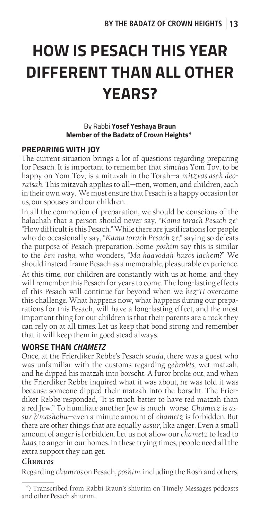# **HOW IS PESACH THIS YEAR DIFFERENT THAN ALL OTHER YEARS?**

#### By Rabbi **Yosef Yeshaya Braun Member of the Badatz of Crown Heights\***

#### **PREPARING WITH JOY**

The current situation brings a lot of questions regarding preparing for Pesach. It is important to remember that *simchas* Yom Tov, to be happy on Yom Tov, is a mitzvah in the Torah—a *mitzvas aseh deoraisah*. This mitzvah applies to all—men, women, and children, each in their own way. We must ensure that Pesach is a happy occasion for us, our spouses, and our children.

In all the commotion of preparation, we should be conscious of the halachah that a person should never say, "*Kama torach Pesach ze*" "How difficult is this Pesach." While there are justifications for people who do occasionally say, "*Kama torach Pesach ze*," saying so defeats the purpose of Pesach preparation. Some *poskim* say this is similar to the *ben rasha*, who wonders, "*Ma haavodah hazos lachem*?" We should instead frame Pesach as a memorable, pleasurable experience. At this time, our children are constantly with us at home, and they will remember this Pesach for years to come. The long-lasting effects of this Pesach will continue far beyond when we *bez"H* overcome this challenge. What happens now, what happens during our preparations for this Pesach, will have a long-lasting effect, and the most important thing for our children is that their parents are a rock they can rely on at all times. Let us keep that bond strong and remember that it will keep them in good stead always.

#### **WORSE THAN** *CHAMETZ*

Once, at the Frierdiker Rebbe's Pesach *seuda*, there was a guest who was unfamiliar with the customs regarding *gebrokts*, wet matzah, and he dipped his matzah into borscht. A furor broke out, and when the Frierdiker Rebbe inquired what it was about, he was told it was because someone dipped their matzah into the borscht. The Frierdiker Rebbe responded, "It is much better to have red matzah than a red Jew." To humiliate another Jew is much worse. *Chametz* is *assur b'mashehu*—even a minute amount of *chametz* is forbidden. But there are other things that are equally *assur*, like anger. Even a small amount of anger is forbidden. Let us not allow our *chametz* to lead to *kaas*, to anger in our homes. In these trying times, people need all the extra support they can get.

#### *Chumros*

Regarding *chumros* on Pesach, *poskim,* including the Rosh and others,

<sup>\*)</sup> Transcribed from Rabbi Braun's shiurim on Timely Messages podcasts and other Pesach shiurim.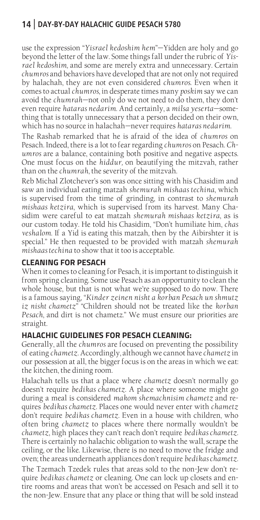use the expression "*Yisrael kedoshim hem*"—Yidden are holy and go beyond the letter of the law. Some things fall under the rubric of *Yisrael kedoshim,* and some are merely extra and unnecessary. Certain *chumros* and behaviors have developed that are not only not required by halachah, they are not even considered *chumros*. Even when it comes to actual *chumros*, in desperate times many *poskim* say we can avoid the *chumrah*—not only do we not need to do them, they don't even require *hataras nedarim*. And certainly, a *milsa yeserta*—something that is totally unnecessary that a person decided on their own, which has no source in halachah—never requires *hataras nedarim*.

The Rashab remarked that he is afraid of the idea of *chumros* on Pesach. Indeed, there is a lot to fear regarding *chumros* on Pesach. *Chumros* are a balance, containing both positive and negative aspects. One must focus on the *hiddur,* on beautifying the mitzvah, rather than on the *chumrah*, the severity of the mitzvah.

Reb Michal Zlotchever's son was once sitting with his Chasidim and saw an individual eating matzah *shemurah mishaas techina*, which is supervised from the time of grinding, in contrast to *shemurah mishaas ketzira*, which is supervised from its harvest. Many Chasidim were careful to eat matzah *shemurah mishaas ketzira*, as is our custom today. He told his Chasidim, "Don't humiliate him, *chas veshalom*. If a Yid is eating this matzah, then by the Aibirshter it is special." He then requested to be provided with matzah *shemurah mishaas techina* to show that it too is acceptable.

#### **CLEANING FOR PESACH**

When it comes to cleaning for Pesach, it is important to distinguish it from spring cleaning. Some use Pesach as an opportunity to clean the whole house, but that is not what we're supposed to do now. There is a famous saying, "*Kinder zeinen nisht a korban Pesach un shmutz iz nisht chametz*" "Children should not be treated like the *korban Pesach*, and dirt is not chametz." We must ensure our priorities are straight.

#### **HALACHIC GUIDELINES FOR PESACH CLEANING:**

Generally, all the *chumros* are focused on preventing the possibility of eating *chametz*. Accordingly, although we cannot have *chametz* in our possession at all, the bigger focus is on the areas in which we eat: the kitchen, the dining room.

Halachah tells us that a place where *chametz* doesn't normally go doesn't require *bedikas chametz*. A place where someone might go during a meal is considered *makom shemachnisim chametz* and requires *bedikas chametz*. Places one would never enter with *chametz* don't require *bedikas chametz*. Even in a house with children, who often bring *chametz* to places where there normally wouldn't be *chametz*, high places they can't reach don't require *bedikas chametz*. There is certainly no halachic obligation to wash the wall, scrape the ceiling, or the like. Likewise, there is no need to move the fridge and oven; the areas underneath appliances don't require *bedikas chametz*.

The Tzemach Tzedek rules that areas sold to the non-Jew don't require *bedikas chametz* or cleaning. One can lock up closets and entire rooms and areas that won't be accessed on Pesach and sell it to the non-Jew. Ensure that any place or thing that will be sold instead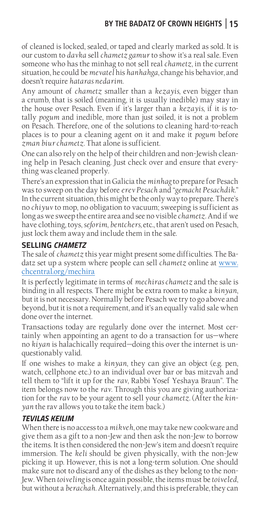# **BY THE BADATZ OF CROWN HEIGHTS 15**

of cleaned is locked, sealed, or taped and clearly marked as sold. It is our custom to *davka* sell *chametz gamur* to show it's a real sale. Even someone who has the minhag to not sell real *chametz*, in the current situation, he could be *mevatel* his *hanhahga*, change his behavior, and doesn't require *hataras nedarim*.

Any amount of *chametz* smaller than a *kezayis*, even bigger than a crumb, that is soiled (meaning, it is usually inedible) may stay in the house over Pesach. Even if it's larger than a *kezayis*, if it is totally *pogum* and inedible, more than just soiled, it is not a problem on Pesach. Therefore, one of the solutions to cleaning hard-to-reach places is to pour a cleaning agent on it and make it *pogum* before *zman biur chametz*. That alone is sufficient.

One can also rely on the help of their children and non-Jewish cleaning help in Pesach cleaning. Just check over and ensure that everything was cleaned properly.

There's an expression that in Galicia the *minhag* to prepare for Pesach was to sweep on the day before *erev Pesach* and "*gemacht Pesachdik*." In the current situation, this might be the only way to prepare. There's no *chiyuv* to mop, no obligation to vacuum; sweeping is sufficient as long as we sweep the entire area and see no visible *chametz*. And if we have clothing, toys, *seforim*, *bentchers,* etc., that aren't used on Pesach, just lock them away and include them in the sale.

#### **SELLING** *CHAMETZ*

The sale of *chametz* this year might present some difficulties. The Badatz set up a system where people can sell *chametz* online at www. chcentral.org/mechira

It is perfectly legitimate in terms of *mechiras chametz* and the sale is binding in all respects. There might be extra room to make a *kinyan*, but it is not necessary. Normally before Pesach we try to go above and beyond, but it is not a requirement, and it's an equally valid sale when done over the internet.

Transactions today are regularly done over the internet. Most certainly when appointing an agent to do a transaction for us—where no *kiyan* is halachically required—doing this over the internet is unquestionably valid.

If one wishes to make a *kinyan*, they can give an object (e.g. pen, watch, cellphone etc.) to an individual over bar or bas mitzvah and tell them to "lift it up for the *rav*, Rabbi Yosef Yeshaya Braun". The item belongs now to the *rav*. Through this you are giving authorization for the *rav* to be your agent to sell your *chametz*. (After the *kinyan* the rav allows you to take the item back.)

#### *TEVILAS KEILIM*

When there is no access to a *mikveh*, one may take new cookware and give them as a gift to a non-Jew and then ask the non-Jew to borrow the items. It is then considered the non-Jew's item and doesn't require immersion. The *keli* should be given physically, with the non-Jew picking it up. However, this is not a long-term solution. One should make sure not to discard any of the dishes as they belong to the non-Jew. When *toiveling* is once again possible, the items must be *toiveled*, but without a *berachah*. Alternatively, and this is preferable, they can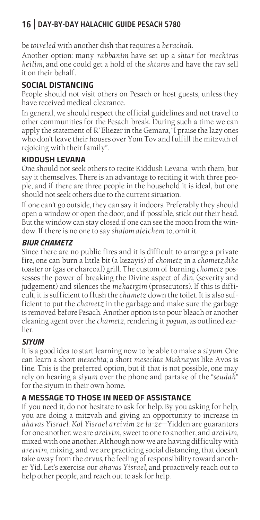be *toiveled* with another dish that requires a *berachah*.

Another option: many *rabbanim* have set up a *shtar* for *mechiras keilim*, and one could get a hold of the *shtaros* and have the rav sell it on their behalf.

#### **SOCIAL DISTANCING**

People should not visit others on Pesach or host guests, unless they have received medical clearance.

In general, we should respect the official guidelines and not travel to other communities for the Pesach break. During such a time we can apply the statement of R' Eliezer in the Gemara, "I praise the lazy ones who don't leave their houses over Yom Tov and fulfill the mitzvah of rejoicing with their family".

#### **KIDDUSH LEVANA**

One should not seek others to recite Kiddush Levana with them, but say it themselves. There is an advantage to reciting it with three people, and if there are three people in the household it is ideal, but one should not seek others due to the current situation.

If one can't go outside, they can say it indoors. Preferably they should open a window or open the door, and if possible, stick out their head. But the window can stay closed if one can see the moon from the window. If there is no one to say *shalom aleichem* to, omit it.

#### *BIUR CHAMETZ*

Since there are no public fires and it is difficult to arrange a private fire, one can burn a little bit (a kezayis) of *chometz* in a *chometzdike* toaster or (gas or charcoal) grill. The custom of burning *chometz* possesses the power of breaking the Divine aspect of *din*, (severity and judgement) and silences the *mekatrgim* (prosecutors). If this is difficult, it is sufficient to flush the *chametz* down the toilet. It is also sufficient to put the *chametz* in the garbage and make sure the garbage is removed before Pesach. Another option is to pour bleach or another cleaning agent over the *chametz*, rendering it *pogum*, as outlined earlier.

#### *SIYUM*

It is a good idea to start learning now to be able to make a *siyum*. One can learn a short *mesechta*; a short *mesechta Mishnayos* like Avos is fine. This is the preferred option, but if that is not possible, one may rely on hearing a *siyum* over the phone and partake of the "*seudah*" for the siyum in their own home.

#### **A MESSAGE TO THOSE IN NEED OF ASSISTANCE**

If you need it, do not hesitate to ask for help. By you asking for help, you are doing a mitzvah and giving an opportunity to increase in *ahavas Yisrael*. *Kol Yisrael areivim ze la-ze*—Yidden are guarantors for one another: we are *areivim*, sweet to one to another, and *areivim*, mixed with one another. Although now we are having difficulty with *areivim*, mixing, and we are practicing social distancing, that doesn't take away from the *arvus*, the feeling of responsibility toward another Yid. Let's exercise our *ahavas Yisrael,* and proactively reach out to help other people, and reach out to ask for help.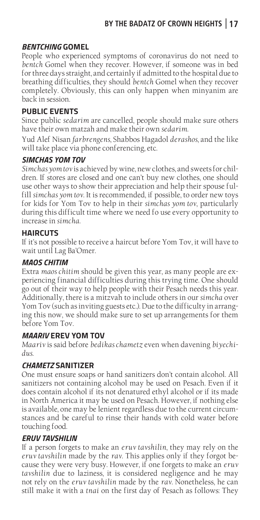#### *BENTCHING* **GOMEL**

People who experienced symptoms of coronavirus do not need to *bentch* Gomel when they recover. However, if someone was in bed for three days straight, and certainly if admitted to the hospital due to breathing difficulties, they should *bentch* Gomel when they recover completely. Obviously, this can only happen when minyanim are back in session.

#### **PUBLIC EVENTS**

Since public *sedarim* are cancelled, people should make sure others have their own matzah and make their own *sedarim*.

Yud Alef Nisan *farbrengens*, Shabbos Hagadol *derashos*, and the like will take place via phone conferencing, etc.

#### *SIMCHAS YOM TOV*

*Simchas yom tov* is achieved by wine, new clothes, and sweets for children. If stores are closed and one can't buy new clothes, one should use other ways to show their appreciation and help their spouse fulfill *simchas yom tov*. It is recommended, if possible, to order new toys for kids for Yom Tov to help in their *simchas yom tov*, particularly during this difficult time where we need fo use every opportunity to increase in *simcha*.

#### **HAIRCUTS**

If it's not possible to receive a haircut before Yom Tov, it will have to wait until Lag Ba'Omer.

#### *MAOS CHITIM*

Extra *maos chitim* should be given this year, as many people are experiencing financial difficulties during this trying time. One should go out of their way to help people with their Pesach needs this year. Additionally, there is a mitzvah to include others in our *simcha* over Yom Tov (such as inviting guests etc.). Due to the difficulty in arranging this now, we should make sure to set up arrangements for them before Yom Tov.

#### *MAARIV* **EREV YOM TOV**

*Maariv* is said before *bedikas chametz* even when davening *biyechidus*.

#### *CHAMETZ* **SANITIZER**

One must ensure soaps or hand sanitizers don't contain alcohol. All sanitizers not containing alcohol may be used on Pesach. Even if it does contain alcohol if its not denatured ethyl alcohol or if its made in North America it may be used on Pesach. However, if nothing else is available, one may be lenient regardless due to the current circumstances and be careful to rinse their hands with cold water before touching food.

#### *ERUV TAVSHILIN*

If a person forgets to make an *eruv tavshilin*, they may rely on the *eruv tavshilin* made by the *rav*. This applies only if they forgot because they were very busy. However, if one forgets to make an *eruv tavshilin* due to laziness, it is considered negligence and he may not rely on the *eruv tavshilin* made by the *rav*. Nonetheless, he can still make it with a *tnai* on the first day of Pesach as follows: They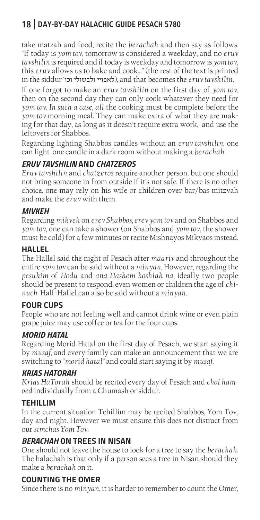take matzah and food, recite the *berachah* and then say as follows: "If today is *yom tov*, tomorrow is considered a weekday, and no *eruv tavshilin* is required and if today is weekday and tomorrow is *yom tov*, this *eruv* allows us to bake and cook…" (the rest of the text is printed in the siddur 'וכו'), and that becomes the *eruv tavshilin*.

If one forgot to make an *eruv tavshilin* on the first day of *yom tov,* then on the second day they can only cook whatever they need for *yom tov. In such a case, all* the cooking must be complete before the *yom tov* morning meal. They can make extra of what they are making for that day, as long as it doesn't require extra work, and use the leftovers for Shabbos.

Regarding lighting Shabbos candles without an *eruv tavshilin*, one can light one candle in a dark room without making a *berachah*.

#### *ERUV TAVSHILIN* **AND** *CHATZEROS*

*Eruv tavshilin* and *chatzeros* require another person, but one should not bring someone in from outside if it's not safe. If there is no other choice, one may rely on his wife or children over bar/bas mitzvah and make the *eruv* with them.

#### *MIVKEH*

Regarding *mikveh* on *erev Shabbos, erev yom tov* and on Shabbos and *yom tov*, one can take a shower (on Shabbos and *yom tov*, the shower must be cold) for a few minutes or recite Mishnayos Mikvaos instead.

#### **HALLEL**

The Hallel said the night of Pesach after *maariv* and throughout the entire *yom tov* can be said without a *minyan*. However, regarding the *pesukim* of *Hodu* and *ana Hashem hoshiah na*, ideally two people should be present to respond, even women or children the age of *chinuch*. Half-Hallel can also be said without a *minyan*.

#### **FOUR CUPS**

People who are not feeling well and cannot drink wine or even plain grape juice may use coffee or tea for the four cups.

#### *MORID HATAL*

Regarding Morid Hatal on the first day of Pesach, we start saying it by *musaf,* and every family can make an announcement that we are switching to "*morid hatal*" and could start saying it by *musaf*.

#### *KRIAS HATORAH*

*Krias HaTorah* should be recited every day of Pesach and *chol hamoed* individually from a Chumash or siddur.

#### **TEHILLIM**

In the current situation Tehillim may be recited Shabbos, Yom Tov, day and night. However we must ensure this does not distract from our *simchas Yom Tov*.

#### *BERACHAH* **ON TREES IN NISAN**

One should not leave the house to look for a tree to say the *berachah*. The halachah is that only if a person sees a tree in Nisan should they make a *berachah* on it.

#### **COUNTING THE OMER**

Since there is no *minyan*, it is harder to remember to count the Omer,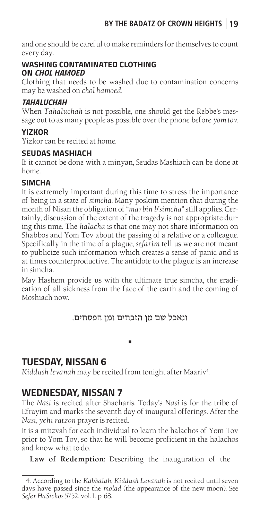and one should be careful to make reminders for themselves to count every day.

#### **WASHING CONTAMINATED CLOTHING ON** *CHOL HAMOED*

Clothing that needs to be washed due to contamination concerns may be washed on *chol hamoed*.

#### *TAHALUCHAH*

When *Tahaluchah* is not possible, one should get the Rebbe's message out to as many people as possible over the phone before *yom tov*.

#### **YIZKOR**

Yizkor can be recited at home.

#### **SEUDAS MASHIACH**

If it cannot be done with a minyan, Seudas Mashiach can be done at home.

#### **SIMCHA**

It is extremely important during this time to stress the importance of being in a state of *simcha*. Many poskim mention that during the month of Nisan the obligation of "*marbin b'simcha*" still applies. Certainly, discussion of the extent of the tragedy is not appropriate during this time. The *halacha* is that one may not share information on Shabbos and Yom Tov about the passing of a relative or a colleague. Specifically in the time of a plague, *sefarim* tell us we are not meant to publicize such information which creates a sense of panic and is at times counterproductive. The antidote to the plague is an increase in simcha.

May Hashem provide us with the ultimate true simcha, the eradication of all sickness from the face of the earth and the coming of Moshiach now.

#### ונאכל שם מן הזבחים ומן הפסחים.

**•**

# **TUESDAY, NISSAN 6**

*Kiddush levanah* may be recited from tonight after Maariv<sup>4</sup> .

# **WEDNESDAY, NISSAN 7**

The *Nasi* is recited after Shacharis. Today's *Nasi* is for the tribe of Efrayim and marks the seventh day of inaugural offerings. After the *Nasi*, *yehi ratzon* prayer is recited.

It is a mitzvah for each individual to learn the halachos of Yom Tov prior to Yom Tov, so that he will become proficient in the halachos and know what to do.

**Law of Redemption:** Describing the inauguration of the

<sup>4.</sup> According to the *Kabbalah*, *Kiddush Levanah* is not recited until seven days have passed since the *molad* (the appearance of the new moon). See *Sefer HaSichos* 5752, vol. 1, p. 68.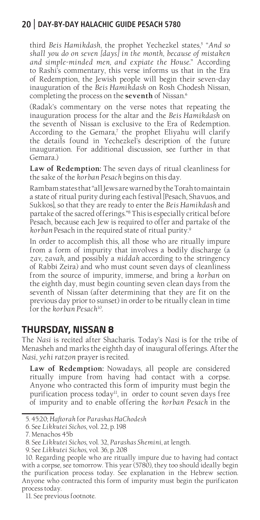third *Beis Hamikdash,* the prophet Yechezkel states,<sup>5</sup> "And so *shall you do on seven [days] in the month, because of mistaken and simple-minded men, and expiate the House.*" According to Rashi's commentary, this verse informs us that in the Era of Redemption, the Jewish people will begin their seven-day inauguration of the *Beis Hamikdash* on Rosh Chodesh Nissan, completing the process on the **seventh** of Nissan.<sup>6</sup>

(Radak's commentary on the verse notes that repeating the inauguration process for the altar and the *Beis Hamikdash* on the seventh of Nissan is exclusive to the Era of Redemption. According to the Gemara*,* 7 the prophet Eliyahu will clarify the details found in Yechezkel's description of the future inauguration. For additional discussion, see further in that Gemara.)

**Law of Redemption:** The seven days of ritual cleanliness for the sake of the *korban Pesach* begins on this day.

Rambam states that "all Jews are warned by the Torah to maintain a state of ritual purity during each festival [Pesach, Shavuos, and Sukkos], so that they are ready to enter the *Beis Hamikdash* and partake of the sacred offerings."8 This is especially critical before Pesach, because each Jew is required to offer and partake of the *korban* Pesach in the required state of ritual purity.9

In order to accomplish this, all those who are ritually impure from a form of impurity that involves a bodily discharge (a *zav, zavah*, and possibly a *niddah* according to the stringency of Rabbi Zeira) and who must count seven days of cleanliness from the source of impurity, immerse, and bring a *korban* on the eighth day, must begin counting seven clean days from the seventh of Nissan (after determining that they are fit on the previous day prior to sunset) in order to be ritually clean in time for the *korban Pesach*10.

#### **THURSDAY, NISSAN 8**

The *Nasi* is recited after Shacharis. Today's *Nasi* is for the tribe of Menasheh and marks the eighth day of inaugural offerings. After the *Nasi*, *yehi ratzon* prayer is recited.

**Law of Redemption:** Nowadays, all people are considered ritually impure from having had contact with a corpse. Anyone who contracted this form of impurity must begin the purification process today<sup>11</sup>, in order to count seven days free of impurity and to enable offering the *korban Pesach* in the

11. See previous footnote.

<sup>5. 45:20;</sup> *Haftorah* for *Parashas HaChodesh*

<sup>6.</sup> See *Likkutei Sichos*, vol. 22, p. 198

<sup>7.</sup> Menachos 45b

<sup>8.</sup> See *Likkutei Sichos*, vol. 32, *Parashas Shemini*, at length.

<sup>9.</sup> See *Likkutei Sichos*, vol. 36, p. 208

<sup>10.</sup> Regarding people who are ritually impure due to having had contact with a corpse, see tomorrow. This year (5780), they too should ideally begin the purification process today. See explanation in the Hebrew section. Anyone who contracted this form of impurity must begin the purificaton process today.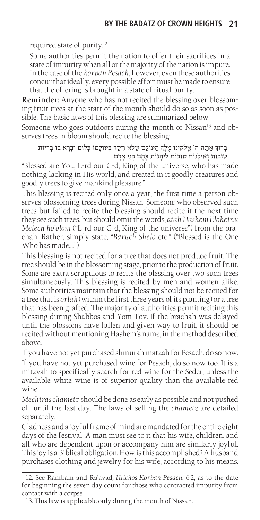required state of purity.12

Some authorities permit the nation to offer their sacrifices in a state of impurity when all or the majority of the nation is impure. In the case of the *korban Pesach*, however, even these authorities concur that ideally, every possible effort must be made to ensure that the offering is brought in a state of ritual purity.

**Reminder:** Anyone who has not recited the blessing over blossoming fruit trees at the start of the month should do so as soon as possible. The basic laws of this blessing are summarized below.

Someone who goes outdoors during the month of Nissan<sup>13</sup> and observes trees in bloom should recite the blessing:

בָרּוְך אַתָה ה' אֱֹלקינּו מֶלְֶך הָעֹולָם שֶֹלא חִסַר בְעֹולָמֹו כְלּום ּובָָרא בֹו בְִריֹות טֹובֹות וְאִילָנֹות טֹובֹות לֵיהָנֹות בָהֶם בְנֵי אָדָם.

"Blessed are You, L-rd our G-d, King of the universe, who has made nothing lacking in His world, and created in it goodly creatures and goodly trees to give mankind pleasure."

This blessing is recited only once a year, the first time a person observes blossoming trees during Nissan. Someone who observed such trees but failed to recite the blessing should recite it the next time they see such trees, but should omit the words, *atah Hashem Elokeinu Melech ho'olom* ("L-rd our G-d, King of the universe") from the brachah. Rather, simply state, "*Baruch Shelo* etc." ("Blessed is the One Who has made….")

This blessing is not recited for a tree that does not produce fruit. The tree should be in the blossoming stage, prior to the production of fruit. Some are extra scrupulous to recite the blessing over two such trees simultaneously. This blessing is recited by men and women alike. Some authorities maintain that the blessing should not be recited for a tree that is *orlah* (within the first three years of its planting) or a tree that has been grafted. The majority of authorities permit reciting this blessing during Shabbos and Yom Tov. If the brachah was delayed until the blossoms have fallen and given way to fruit, it should be recited without mentioning Hashem's name, in the method described above.

If you have not yet purchased shmurah matzah for Pesach, do so now. If you have not yet purchased wine for Pesach, do so now too. It is a mitzvah to specifically search for red wine for the Seder, unless the available white wine is of superior quality than the available red wine.

*Mechiras chametz* should be done as early as possible and not pushed off until the last day. The laws of selling the *chametz* are detailed separately.

Gladness and a joyful frame of mind are mandated for the entire eight days of the festival. A man must see to it that his wife, children, and all who are dependent upon or accompany him are similarly joyful. This joy is a Biblical obligation. How is this accomplished? A husband purchases clothing and jewelry for his wife, according to his means.

<sup>12.</sup> See Rambam and Ra'avad*, Hilchos Korban Pesach*, 6:2, as to the date for beginning the seven day count for those who contracted impurity from contact with a corpse.

<sup>13.</sup> This law is applicable only during the month of Nissan.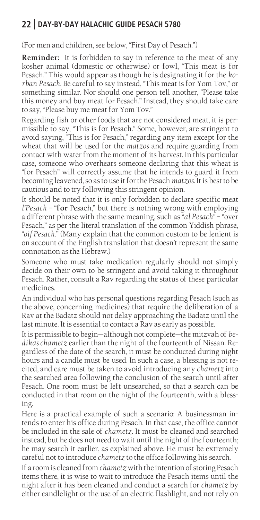(For men and children, see below, "First Day of Pesach.")

**Reminder:** It is forbidden to say in reference to the meat of any kosher animal (domestic or otherwise) or fowl, "This meat is for Pesach." This would appear as though he is designating it for the *korban Pesach*. Be careful to say instead, "This meat is for Yom Tov," or something similar. Nor should one person tell another, "Please take this money and buy meat for Pesach." Instead, they should take care to say, "Please buy me meat for Yom Tov."

Regarding fish or other foods that are not considered meat, it is permissible to say, "This is for Pesach." Some, however, are stringent to avoid saying, "This is for Pesach," regarding any item except for the wheat that will be used for the *matzos* and require guarding from contact with water from the moment of its harvest. In this particular case, someone who overhears someone declaring that this wheat is "for Pesach" will correctly assume that he intends to guard it from becoming leavened, so as to use it for the Pesach *matzos*. It is best to be cautious and to try following this stringent opinion.

It should be noted that it is only forbidden to declare specific meat *l'Pesach* – "**for** Pesach," but there is nothing wrong with employing a different phrase with the same meaning, such as "*al Pesach*" – "over Pesach," as per the literal translation of the common Yiddish phrase, "*oif Pesach*." (Many explain that the common custom to be lenient is on account of the English translation that doesn't represent the same connotation as the Hebrew.)

Someone who must take medication regularly should not simply decide on their own to be stringent and avoid taking it throughout Pesach. Rather, consult a Rav regarding the status of these particular medicines.

An individual who has personal questions regarding Pesach (such as the above, concerning medicines) that require the deliberation of a Rav at the Badatz should not delay approaching the Badatz until the last minute. It is essential to contact a Rav as early as possible.

It is permissible to begin—although not complete—the mitzvah of *bedikas chametz* earlier than the night of the fourteenth of Nissan. Regardless of the date of the search, it must be conducted during night hours and a candle must be used. In such a case, a blessing is not recited, and care must be taken to avoid introducing any *chametz* into the searched area following the conclusion of the search until after Pesach. One room must be left unsearched, so that a search can be conducted in that room on the night of the fourteenth, with a blessing.

Here is a practical example of such a scenario: A businessman intends to enter his office during Pesach. In that case, the office cannot be included in the sale of *chametz*. It must be cleaned and searched instead, but he does not need to wait until the night of the fourteenth; he may search it earlier, as explained above. He must be extremely careful not to introduce *chametz* to the office following his search.

If a room is cleaned from *chametz* with the intention of storing Pesach items there, it is wise to wait to introduce the Pesach items until the night after it has been cleaned and conduct a search for *chametz* by either candlelight or the use of an electric flashlight, and not rely on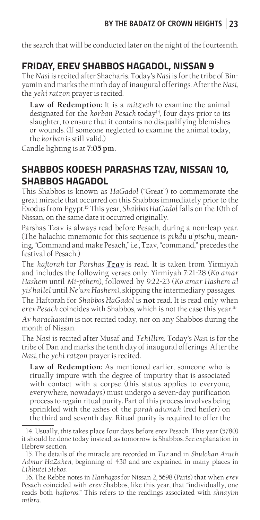the search that will be conducted later on the night of the fourteenth.

# **FRIDAY, EREV SHABBOS HAGADOL, NISSAN 9**

The *Nasi* is recited after Shacharis. Today's *Nasi* is for the tribe of Binyamin and marks the ninth day of inaugural offerings. After the *Nasi*, the *yehi ratzon* prayer is recited.

**Law of Redemption:** It is a *mitzvah* to examine the animal designated for the *korban Pesach* today<sup>14</sup>, four days prior to its slaughter, to ensure that it contains no disqualifying blemishes or wounds. (If someone neglected to examine the animal today, the *korban* is still valid.)

Candle lighting is at **7:05 pm.**

# **SHABBOS KODESH PARASHAS TZAV, NISSAN 10, SHABBOS HAGADOL**

This Shabbos is known as *HaGadol* ("Great") to commemorate the great miracle that occurred on this Shabbos immediately prior to the Exodus from Egypt.15 This year, *Shabbos HaGadol* falls on the 10th of Nissan, on the same date it occurred originally.

Parshas Tzav is always read before Pesach, during a non-leap year. (The halachic mnemonic for this sequence is *pikdu u'pischu*, meaning, "Command and make Pesach," i.e., Tzav, "command," precedes the festival of Pesach.)

The *haftorah* for *Parshas Tzav* is read. It is taken from Yirmiyah and includes the following verses only: Yirmiyah 7:21-28 (*Ko amar Hashem* until *Mi-pihem*), followed by 9:22-23 (*Ko amar Hashem al yis'hallel* until *Ne'um Hashem*), skipping the intermediary passages.

The Haftorah for *Shabbos HaGadol* is **not** read. It is read only when *erev Pesach* coincides with Shabbos, which is not the case this year.16 *Av harachamim* is not recited today, nor on any Shabbos during the month of Nissan.

The *Nasi* is recited after Musaf and *Tehillim*. Today's *Nasi* is for the tribe of Dan and marks the tenth day of inaugural offerings. After the *Nasi*, the *yehi ratzon* prayer is recited.

**Law of Redemption:** As mentioned earlier, someone who is ritually impure with the degree of impurity that is associated with contact with a corpse (this status applies to everyone, everywhere, nowadays) must undergo a seven-day purification process to regain ritual purity. Part of this process involves being sprinkled with the ashes of the *parah adumah* (red heifer) on the third and seventh day. Ritual purity is required to offer the

<sup>14.</sup> Usually, this takes place four days before erev Pesach. This year (5780) it should be done today instead, as tomorrow is Shabbos. See explanation in Hebrew section.

<sup>15.</sup> The details of the miracle are recorded in *Tur* and in *Shulchan Aruch Admur HaZaken*, beginning of 430 and are explained in many places in *Likkutei Sichos*.

<sup>16.</sup> The Rebbe notes in *Hanhagos* for Nissan 2*,* 5698 (Paris) that when *erev*  Pesach coincided with *erev* Shabbos, like this year, that "individually, one reads both *haftoros*." This refers to the readings associated with *shnayim mikra*.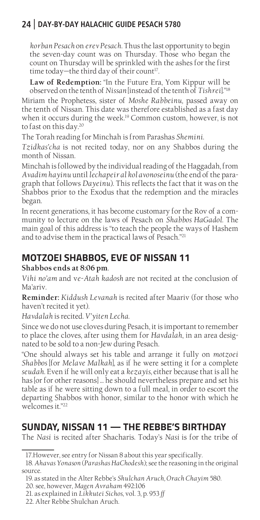*korban Pesach* on *erev Pesach*. Thus the last opportunity to begin the seven-day count was on Thursday. Those who began the count on Thursday will be sprinkled with the ashes for the first time today—the third day of their count<sup>17</sup>.

**Law of Redemption:** "In the Future Era, Yom Kippur will be observed on the tenth of *Nissan* [instead of the tenth of *Tishrei*]."18

Miriam the Prophetess, sister of *Moshe Rabbeinu,* passed away on the tenth of Nissan. This date was therefore established as a fast day when it occurs during the week.<sup>19</sup> Common custom, however, is not to fast on this day.20

The Torah reading for Minchah is from Parashas *Shemini*.

*Tzidkas'cha* is not recited today, nor on any Shabbos during the month of Nissan.

Minchah is followed by the individual reading of the Haggadah, from *Avadim hayinu* until *lechapeir al kol avonoseinu* (the end of the paragraph that follows *Dayeinu*). This reflects the fact that it was on the Shabbos prior to the Exodus that the redemption and the miracles began.

In recent generations, it has become customary for the Rov of a community to lecture on the laws of Pesach on *Shabbos HaGadol*. The main goal of this address is "to teach the people the ways of Hashem and to advise them in the practical laws of Pesach."21

# **MOTZOEI SHABBOS, EVE OF NISSAN 11**

**Shabbos ends at 8:06 pm**.

*Vihi no'am* and v*e-Atah kadosh* are not recited at the conclusion of Ma'ariv.

**Reminder:** *Kiddush Levanah* is recited after Maariv (for those who haven't recited it yet).

*Havdalah* is recited. *V'yiten Lecha.* 

Since we do not use cloves during Pesach, it is important to remember to place the cloves, after using them for *Havdalah*, in an area designated to be sold to a non-Jew during Pesach.

"One should always set his table and arrange it fully on *motzoei Shabbos* [for *Melave Malkah*], as if he were setting it for a complete *seudah*. Even if he will only eat a *kezayis*, either because that is all he has [or for other reasons] … he should nevertheless prepare and set his table as if he were sitting down to a full meal, in order to escort the departing Shabbos with honor, similar to the honor with which he welcomes it."22

# **SUNDAY, NISSAN 11 — THE REBBE'S BIRTHDAY**

The *Nasi* is recited after Shacharis. Today's *Nasi* is for the tribe of

21. as explained in *Likkutei Sichos*, vol. 3, p. 953 *ff*

<sup>17.</sup>However, see entry for Nissan 8 about this year specifically.

<sup>18.</sup> *Ahavas Yonason* (*Parashas HaChodesh*); see the reasoning in the original source.

<sup>19.</sup> as stated in the Alter Rebbe's *Shulchan Aruch, Orach Chayim* 580.

<sup>20.</sup> see, however, *Magen Avraham* 492:106

<sup>22.</sup> Alter Rebbe Shulchan Aruch.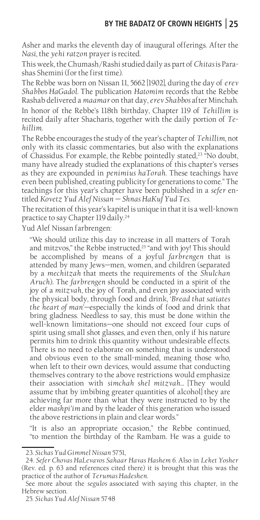Asher and marks the eleventh day of inaugural offerings. After the *Nasi*, the *yehi ratzon* prayer is recited.

This week, the Chumash/Rashi studied daily as part of *Chitas* is Parashas Shemini (for the first time).

The Rebbe was born on Nissan 11, 5662 [1902], during the day of *erev Shabbos HaGadol*. The publication *Hatomim* records that the Rebbe Rashab delivered a *maamar* on that day, *erev Shabbos* after Minchah.

In honor of the Rebbe's 118th birthday, Chapter 119 of *Tehillim* is recited daily after Shacharis, together with the daily portion of *Tehillim*.

The Rebbe encourages the study of the year's chapter of *Tehillim*, not only with its classic commentaries, but also with the explanations of Chassidus. For example, the Rebbe pointedly stated,<sup>23</sup> "No doubt, many have already studied the explanations of this chapter's verses as they are expounded in *penimius haTorah*. These teachings have even been published, creating publicity for generations to come." The teachings for this year's chapter have been published in a *sefer* entitled *Kovetz Yud Alef Nissan — Shnas HaKuf Yud Tes*.

The recitation of this year's kapitel is unique in that it is a well-known practice to say Chapter 119 daily.24

Yud Alef Nissan farbrengen:

"We should utilize this day to increase in all matters of Torah and mitzvos," the Rebbe instructed, $25$  "and with joy! This should be accomplished by means of a joyful *farbrengen* that is attended by many Jews—men, women, and children (separated by a *mechitzah* that meets the requirements of the *Shulchan Aruch*). The *farbrengen* should be conducted in a spirit of the joy of a *mitzvah*, the joy of Torah, and even joy associated with the physical body, through food and drink, '*Bread that satiates the heart of man*'—especially the kinds of food and drink that bring gladness. Needless to say, this must be done within the well-known limitations—one should not exceed four cups of spirit using small shot glasses, and even then, only if his nature permits him to drink this quantity without undesirable effects. There is no need to elaborate on something that is understood and obvious even to the small-minded, meaning those who, when left to their own devices, would assume that conducting themselves contrary to the above restrictions would emphasize their association with *simchah shel mitzvah…* [They would assume that by imbibing greater quantities of alcohol] they are achieving far more than what they were instructed to by the elder *mashpi'im* and by the leader of this generation who issued the above restrictions in plain and clear words."

"It is also an appropriate occasion," the Rebbe continued, "to mention the birthday of the Rambam. He was a guide to

<sup>23.</sup> *Sichas Yud Gimmel Nissan* 5751,

<sup>24.</sup> *Sefer Chovas HaLevavos Sahaar Havas Hashem 6.* Also in *Leket Yosher*  (Rev. ed. p. 63 and references cited there) it is brought that this was the practice of the author of *Terumas Hadeshen.* 

See more about the *segulos* associated with saying this chapter, in the Hebrew section.

<sup>25.</sup> *Sichas Yud Alef Nissan* 5748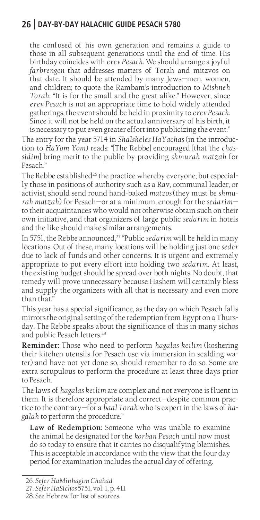the confused of his own generation and remains a guide to those in all subsequent generations until the end of time. His birthday coincides with *erev Pesach*. We should arrange a joyful *farbrengen* that addresses matters of Torah and mitzvos on that date. It should be attended by many Jews—men, women, and children; to quote the Rambam's introduction to *Mishneh Torah*: "It is for the small and the great alike." However, since *erev Pesach* is not an appropriate time to hold widely attended gatherings, the event should be held in proximity to *erev Pesach*. Since it will not be held on the actual anniversary of his birth, it is necessary to put even greater effort into publicizing the event."

The entry for the year 5714 in *Shalsheles HaYachas* (in the introduction to *HaYom Yom*) reads: "[The Rebbe] encouraged [that the *chassidim*] bring merit to the public by providing *shmurah matzah* for Pesach."

The Rebbe established<sup>26</sup> the practice whereby everyone, but especially those in positions of authority such as a Rav, communal leader, or activist, should send round hand-baked *matzos* (they must be *shmurah matzah*) for Pesach—or at a minimum, enough for the *sedarim* to their acquaintances who would not otherwise obtain such on their own initiative, and that organizers of large public *sedarim* in hotels and the like should make similar arrangements.

In 5751, the Rebbe announced,<sup>27</sup> "Public *sedarim* will be held in many locations. Out of these, many locations will be holding just one *seder* due to lack of funds and other concerns. It is urgent and extremely appropriate to put every effort into holding two *sedarim*. At least, the existing budget should be spread over both nights. No doubt, that remedy will prove unnecessary because Hashem will certainly bless and supply the organizers with all that is necessary and even more than that."

This year has a special significance, as the day on which Pesach falls mirrors the original setting of the redemption from Egypt on a Thursday. The Rebbe speaks about the significance of this in many sichos and public Pesach letters.<sup>28</sup>

**Reminder:** Those who need to perform *hagalas keilim* (koshering their kitchen utensils for Pesach use via immersion in scalding water) and have not yet done so, should remember to do so. Some are extra scrupulous to perform the procedure at least three days prior to Pesach.

The laws of *hagalas keilim* are complex and not everyone is fluent in them. It is therefore appropriate and correct—despite common practice to the contrary—for a *baal Torah* who is expert in the laws of *hagalah* to perform the procedure."

**Law of Redemption:** Someone who was unable to examine the animal he designated for the *korban Pesach* until now must do so today to ensure that it carries no disqualifying blemishes. This is acceptable in accordance with the view that the four day period for examination includes the actual day of offering.

<sup>26.</sup> *Sefer HaMinhagim Chabad*

<sup>27.</sup> *Sefer HaSichos* 5751, vol. 1, p. 411

<sup>28.</sup> See Hebrew for list of sources.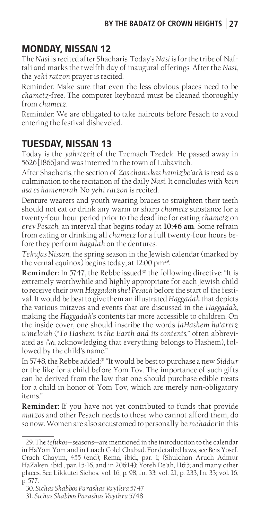# **MONDAY, NISSAN 12**

The *Nasi* is recited after Shacharis. Today's *Nasi* is for the tribe of Naftali and marks the twelfth day of inaugural offerings. After the *Nasi*, the *yehi ratzon* prayer is recited.

Reminder: Make sure that even the less obvious places need to be *chametz*-free. The computer keyboard must be cleaned thoroughly from *chametz*.

Reminder: We are obligated to take haircuts before Pesach to avoid entering the festival disheveled.

# **TUESDAY, NISSAN 13**

Today is the *yahrtzeit* of the Tzemach Tzedek. He passed away in 5626 [1866] and was interred in the town of Lubavitch.

After Shacharis, the section of *Zos chanukas hamizbe'ach* is read as a culmination to the recitation of the daily *Nasi*. It concludes with *kein asa es hamenorah*. No *yehi ratzon* is recited.

Denture wearers and youth wearing braces to straighten their teeth should not eat or drink any warm or sharp *chametz* substance for a twenty-four hour period prior to the deadline for eating *chametz* on *erev Pesach*, an interval that begins today at **10:46 am**. Some refrain from eating or drinking all *chametz* for a full twenty-four hours before they perform *hagalah* on the dentures.

*Tekufas Nissan*, the spring season in the Jewish calendar (marked by the vernal equinox) begins today, at 12:00 pm<sup>29</sup>.

**Reminder:** In 5747, the Rebbe issued<sup>30</sup> the following directive: "It is extremely worthwhile and highly appropriate for each Jewish child to receive their own *Haggadah shel Pesach* before the start of the festival. It would be best to give them an illustrated *Haggadah* that depicts the various mitzvos and events that are discussed in the *Haggadah*, making the *Haggadah*'s contents far more accessible to children. On the inside cover, one should inscribe the words *laHashem ha'aretz u'melo'ah* ("*To Hashem is the Earth and its contents*," often abbreviated as ו"לה, acknowledging that everything belongs to Hashem), followed by the child's name."

In 5748, the Rebbe added:31 "It would be best to purchase a new *Siddur*  or the like for a child before Yom Tov. The importance of such gifts can be derived from the law that one should purchase edible treats for a child in honor of Yom Tov, which are merely non-obligatory items."

**Reminder:** If you have not yet contributed to funds that provide *matzos* and other Pesach needs to those who cannot afford them, do so now. Women are also accustomed to personally be *mehader* in this

<sup>29.</sup> The *tefukos*—seasons—are mentioned in the introduction to the calendar in HaYom Yom and in Luach Colel Chabad. For detailed laws, see Beis Yosef, Orach Chayim, 455 (end); Rema, ibid., par. 1; (Shulchan Aruch Admur HaZaken, ibid., par. 15-16, and in 206:14); Yoreh De'ah, 116:5; and many other places. See Likkutei Sichos, vol. 16, p. 98, fn. 33; vol. 21, p. 233, fn. 33; vol. 16, p. 577.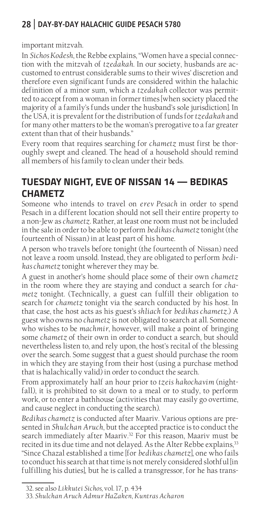important mitzvah.

In *Sichos Kodesh*, the Rebbe explains, "Women have a special connection with the mitzvah of *tzedakah*. In our society, husbands are accustomed to entrust considerable sums to their wives' discretion and therefore even significant funds are considered within the halachic definition of a minor sum, which a *tzedakah* collector was permitted to accept from a woman in former times [when society placed the majority of a family's funds under the husband's sole jurisdiction]. In the USA, it is prevalent for the distribution of funds for *tzedakah* and for many other matters to be the woman's prerogative to a far greater extent than that of their husbands."

Every room that requires searching for *chametz* must first be thoroughly swept and cleaned. The head of a household should remind all members of his family to clean under their beds.

# **TUESDAY NIGHT, EVE OF NISSAN 14 — BEDIKAS CHAMETZ**

Someone who intends to travel on *erev Pesach* in order to spend Pesach in a different location should not sell their entire property to a non-Jew as *chametz*. Rather, at least one room must not be included in the sale in order to be able to perform *bedikas chametz* tonight (the fourteenth of Nissan) in at least part of his home.

A person who travels before tonight (the fourteenth of Nissan) need not leave a room unsold. Instead, they are obligated to perform *bedikas chametz* tonight wherever they may be.

A guest in another's home should place some of their own *chametz* in the room where they are staying and conduct a search for *chametz* tonight. (Technically, a guest can fulfill their obligation to search for *chametz* tonight via the search conducted by his host. In that case, the host acts as his guest's *shliach* for *bedikas chametz*.) A guest who owns no *chametz* is not obligated to search at all. Someone who wishes to be *machmir*, however, will make a point of bringing some *chametz* of their own in order to conduct a search, but should nevertheless listen to, and rely upon, the host's recital of the blessing over the search. Some suggest that a guest should purchase the room in which they are staying from their host (using a purchase method that is halachically valid) in order to conduct the search.

From approximately half an hour prior to *tzeis hakochavim* (nightfall), it is prohibited to sit down to a meal or to study, to perform work, or to enter a bathhouse (activities that may easily go overtime, and cause neglect in conducting the search).

*Bedikas chametz* is conducted after Maariv. Various options are presented in *Shulchan Aruch*, but the accepted practice is to conduct the search immediately after Maariv.<sup>32</sup> For this reason, Maariv must be recited in its due time and not delayed. As the Alter Rebbe explains,<sup>33</sup> "Since Chazal established a time [for *bedikas chametz*], one who fails to conduct his search at that time is not merely considered slothful [in fulfilling his duties], but he is called a transgressor, for he has trans-

<sup>32.</sup> see also *Likkutei Sichos,* vol. 17, p. 434

<sup>33.</sup> *Shulchan Aruch Admur HaZaken*, *Kuntras Acharon*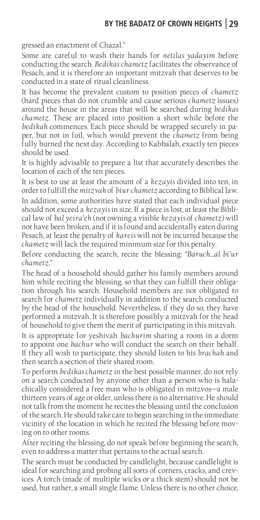gressed an enactment of Chazal."

Some are careful to wash their hands for *netilas yadayim* before conducting the search. *Bedikas chametz* facilitates the observance of Pesach, and it is therefore an important mitzvah that deserves to be conducted in a state of ritual cleanliness.

It has become the prevalent custom to position pieces of *chametz*  (hard pieces that do not crumble and cause serious *chametz* issues) around the house in the areas that will be searched during *bedikas chametz*. These are placed into position a short while before the *bedikah* commences. Each piece should be wrapped securely in paper, but not in foil, which would prevent the *chametz* from being fully burned the next day. According to Kabbalah, exactly ten pieces should be used.

It is highly advisable to prepare a list that accurately describes the location of each of the ten pieces.

It is best to use at least the amount of a *kezayis* divided into ten, in order to fulfill the *mitzvah* of *biur chametz* according to Biblical law. In addition, some authorities have stated that each individual piece should not exceed a *kezayis* in size. If a piece is lost, at least the Biblical law of *bal yeira'eh* (not owning a visible *kezayis* of *chametz*) will not have been broken, and if it is found and accidentally eaten during Pesach, at least the penalty of *kareis* will not be incurred because the *chametz* will lack the required minimum size for this penalty.

Before conducting the search, recite the blessing: *"Baruch…al bi'ur chametz*."

The head of a household should gather his family members around him while reciting the blessing, so that they can fulfill their obligation through his search. Household members are not obligated to search for *chametz* individually in addition to the search conducted by the head of the household. Nevertheless, if they do so, they have performed a mitzvah. It is therefore possibly a mitzvah for the head of household to give them the merit of participating in this mitzvah.

It is appropriate for yeshivah *bachurim* sharing a room in a dorm to appoint one *bachur* who will conduct the search on their behalf. If they all wish to participate, they should listen to his *brachah* and then search a section of their shared room.

To perform *bedikas chametz* in the best possible manner, do not rely on a search conducted by anyone other than a person who is halachically considered a free man who is obligated in mitzvos—a male thirteen years of age or older, unless there is no alternative. He should not talk from the moment he recites the blessing until the conclusion of the search. He should take care to begin searching in the immediate vicinity of the location in which he recited the blessing before moving on to other rooms.

After reciting the blessing, do not speak before beginning the search, even to address a matter that pertains to the actual search.

The search must be conducted by candlelight, because candlelight is ideal for searching and probing all sorts of corners, cracks, and crevices. A torch (made of multiple wicks or a thick stem) should not be used, but rather, a small single flame. Unless there is no other choice,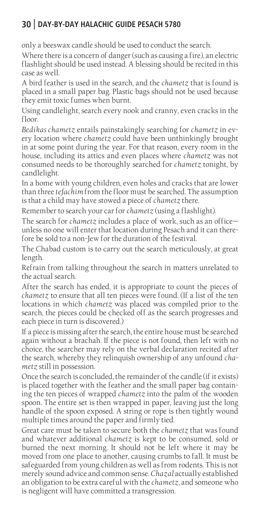only a beeswax candle should be used to conduct the search.

Where there is a concern of danger (such as causing a fire), an electric flashlight should be used instead. A blessing should be recited in this case as well.

A bird feather is used in the search, and the *chametz* that is found is placed in a small paper bag. Plastic bags should not be used because they emit toxic fumes when burnt.

Using candlelight, search every nook and cranny, even cracks in the floor.

*Bedikas chametz* entails painstakingly searching for *chametz* in every location where *chametz* could have been unthinkingly brought in at some point during the year. For that reason, every room in the house, including its attics and even places where *chametz* was not consumed needs to be thoroughly searched for *chametz* tonight, by candlelight.

In a home with young children, even holes and cracks that are lower than three *tefachim* from the floor must be searched. The assumption is that a child may have stowed a piece of *chametz* there.

Remember to search your car for *chametz* (using a flashlight).

The search for *chametz* includes a place of work, such as an office unless no one will enter that location during Pesach and it can therefore be sold to a non-Jew for the duration of the festival.

The Chabad custom is to carry out the search meticulously, at great length.

Refrain from talking throughout the search in matters unrelated to the actual search.

After the search has ended, it is appropriate to count the pieces of *chametz* to ensure that all ten pieces were found. (If a list of the ten locations in which *chametz* was placed was compiled prior to the search, the pieces could be checked off as the search progresses and each piece in turn is discovered.)

If a piece is missing after the search, the entire house must be searched again without a brachah. If the piece is not found, then left with no choice, the searcher may rely on the verbal declaration recited after the search, whereby they relinquish ownership of any unfound *chametz* still in possession.

Once the search is concluded, the remainder of the candle (if it exists) is placed together with the feather and the small paper bag containing the ten pieces of wrapped *chametz* into the palm of the wooden spoon. The entire set is then wrapped in paper, leaving just the long handle of the spoon exposed. A string or rope is then tightly wound multiple times around the paper and firmly tied.

Great care must be taken to secure both the *chametz* that was found and whatever additional *chametz* is kept to be consumed, sold or burned the next morning. It should not be left where it may be moved from one place to another, causing crumbs to fall. It must be safeguarded from young children as well as from rodents. This is not merely sound advice and common sense. *Chazal* actually established an obligation to be extra careful with the *chametz*, and someone who is negligent will have committed a transgression.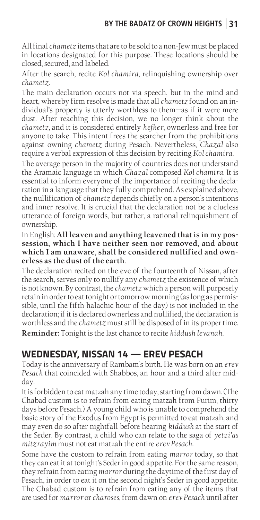All final *chametz* items that are to be sold to a non-Jew must be placed in locations designated for this purpose. These locations should be closed, secured, and labeled.

After the search, recite *Kol chamira*, relinquishing ownership over *chametz*.

The main declaration occurs not via speech, but in the mind and heart, whereby firm resolve is made that all *chametz* found on an individual's property is utterly worthless to them—as if it were mere dust. After reaching this decision, we no longer think about the *chametz,* and it is considered entirely *hefker*, ownerless and free for anyone to take. This intent frees the searcher from the prohibitions against owning *chametz* during Pesach. Nevertheless, *Chazal* also require a verbal expression of this decision by reciting *Kol chamira*.

The average person in the majority of countries does not understand the Aramaic language in which *Chazal* composed *Kol chamira*. It is essential to inform everyone of the importance of reciting the declaration in a language that they fully comprehend. As explained above, the nullification of *chametz* depends chiefly on a person's intentions and inner resolve. It is crucial that the declaration not be a clueless utterance of foreign words, but rather, a rational relinquishment of ownership.

In English: **All leaven and anything leavened that is in my possession, which I have neither seen nor removed, and about which I am unaware, shall be considered nullified and ownerless as the dust of the earth**.

The declaration recited on the eve of the fourteenth of Nissan, after the search, serves only to nullify any *chametz* the existence of which is not known. By contrast, the *chametz* which a person will purposely retain in order to eat tonight or tomorrow morning (as long as permissible, until the fifth halachic hour of the day) is not included in the declaration; if it is declared ownerless and nullified, the declaration is worthless and the *chametz* must still be disposed of in its proper time. **Reminder:** Tonight is the last chance to recite *kiddush levanah*.

# **WEDNESDAY, NISSAN 14 — EREV PESACH**

Today is the anniversary of Rambam's birth. He was born on an *erev Pesach* that coincided with Shabbos, an hour and a third after midday.

It is forbidden to eat matzah any time today, starting from dawn. (The Chabad custom is to refrain from eating matzah from Purim, thirty days before Pesach.) A young child who is unable to comprehend the basic story of the Exodus from Egypt is permitted to eat matzah, and may even do so after nightfall before hearing *kiddush* at the start of the Seder. By contrast, a child who can relate to the saga of *yetzi'as mitzrayim* must not eat matzah the entire *erev Pesach*.

Some have the custom to refrain from eating *marror* today, so that they can eat it at tonight's Seder in good appetite. For the same reason, they refrain from eating *marror* during the daytime of the first day of Pesach, in order to eat it on the second night's Seder in good appetite. The Chabad custom is to refrain from eating any of the items that are used for *marror* or *charoses*, from dawn on *erev Pesach* until after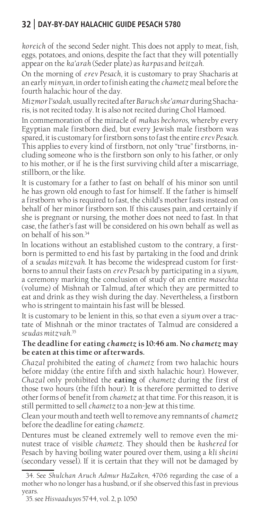*koreich* of the second Seder night. This does not apply to meat, fish, eggs, potatoes, and onions, despite the fact that they will potentially appear on the *ka'arah* (Seder plate) as *karpas* and *beitzah*.

On the morning of *erev Pesach*, it is customary to pray Shacharis at an early *minyan*, in order to finish eating the *chametz* meal before the fourth halachic hour of the day.

*Mizmor l'sodah*, usually recited after *Baruch she'amar* during Shacharis, is not recited today. It is also not recited during Chol Hamoed.

In commemoration of the miracle of *makas bechoros*, whereby every Egyptian male firstborn died, but every Jewish male firstborn was spared, it is customary for firstborn sons to fast the entire *erev Pesach*. This applies to every kind of firstborn, not only "true" firstborns, including someone who is the firstborn son only to his father, or only to his mother, or if he is the first surviving child after a miscarriage, stillborn, or the like.

It is customary for a father to fast on behalf of his minor son until he has grown old enough to fast for himself. If the father is himself a firstborn who is required to fast, the child's mother fasts instead on behalf of her minor firstborn son. If this causes pain, and certainly if she is pregnant or nursing, the mother does not need to fast. In that case, the father's fast will be considered on his own behalf as well as on behalf of his son.34

In locations without an established custom to the contrary, a firstborn is permitted to end his fast by partaking in the food and drink of a *seudas mitzvah*. It has become the widespread custom for firstborns to annul their fasts on *erev Pesach* by participating in a *siyum*, a ceremony marking the conclusion of study of an entire *masechta*  (volume) of Mishnah or Talmud, after which they are permitted to eat and drink as they wish during the day. Nevertheless, a firstborn who is stringent to maintain his fast will be blessed.

It is customary to be lenient in this, so that even a *siyum* over a tractate of Mishnah or the minor tractates of Talmud are considered a *seudas mitzvah.*<sup>35</sup>

#### **The deadline for eating** *chametz* **is 10:46 am. No** *chametz* **may be eaten at this time or afterwards.**

*Chazal* prohibited the eating of *chametz* from two halachic hours before midday (the entire fifth and sixth halachic hour). However, *Chazal* only prohibited the **eating** of *chametz* during the first of those two hours (the fifth hour). It is therefore permitted to derive other forms of benefit from *chametz* at that time. For this reason, it is still permitted to sell *chametz* to a non-Jew at this time.

Clean your mouth and teeth well to remove any remnants of *chametz*  before the deadline for eating *chametz*.

Dentures must be cleaned extremely well to remove even the minutest trace of visible *chametz*. They should then be *kashered* for Pesach by having boiling water poured over them, using a *kli sheini*  (secondary vessel). If it is certain that they will not be damaged by

<sup>34.</sup> See *Shulchan Aruch Admur HaZaken*, 470:6 regarding the case of a mother who no longer has a husband, or if she observed this fast in previous years.

<sup>35.</sup> see *Hisvaaduyos* 5744, vol. 2, p. 1050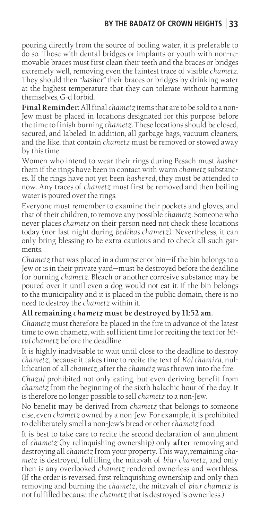### **BY THE BADATZ OF CROWN HEIGHTS 33**

pouring directly from the source of boiling water, it is preferable to do so. Those with dental bridges or implants or youth with non-removable braces must first clean their teeth and the braces or bridges extremely well, removing even the faintest trace of visible *chametz.*  They should then "*kasher*" their braces or bridges by drinking water at the highest temperature that they can tolerate without harming themselves, G-d forbid.

**Final Reminder:** All final *chametz* items that are to be sold to a non-Jew must be placed in locations designated for this purpose before the time to finish burning *chametz*. These locations should be closed, secured, and labeled. In addition, all garbage bags, vacuum cleaners, and the like, that contain *chametz* must be removed or stowed away by this time.

Women who intend to wear their rings during Pesach must *kasher*  them if the rings have been in contact with warm *chametz* substances. If the rings have not yet been *kashered*, they must be attended to now. Any traces of *chametz* must first be removed and then boiling water is poured over the rings.

Everyone must remember to examine their pockets and gloves, and that of their children, to remove any possible *chametz*. Someone who never places *chametz* on their person need not check these locations today (nor last night during *bedikas chametz*). Nevertheless, it can only bring blessing to be extra cautious and to check all such garments.

*Chametz* that was placed in a dumpster or bin—if the bin belongs to a Jew or is in their private yard—must be destroyed before the deadline for burning *chametz*. Bleach or another corrosive substance may be poured over it until even a dog would not eat it. If the bin belongs to the municipality and it is placed in the public domain, there is no need to destroy the *chametz* within it.

#### **All remaining** *chametz* **must be destroyed by 11:52 am.**

*Chametz* must therefore be placed in the fire in advance of the latest time to own chametz, with sufficient time for reciting the text for *bittul chametz* before the deadline.

It is highly inadvisable to wait until close to the deadline to destroy *chametz*, because it takes time to recite the text of *Kol chamira*, nullification of all *chametz*, after the *chametz* was thrown into the fire.

*Chazal* prohibited not only eating, but even deriving benefit from *chametz* from the beginning of the sixth halachic hour of the day. It is therefore no longer possible to sell *chametz* to a non-Jew.

No benefit may be derived from *chametz* that belongs to someone else, even *chametz* owned by a non-Jew. For example, it is prohibited to deliberately smell a non-Jew's bread or other *chametz* food.

It is best to take care to recite the second declaration of annulment of *chametz* (by relinquishing ownership) only **after** removing and destroying all *chametz* from your property. This way, remaining *chametz* is destroyed, fulfilling the mitzvah of *biur chametz*, and only then is any overlooked *chametz* rendered ownerless and worthless. (If the order is reversed, first relinquishing ownership and only then removing and burning the *chametz*, the mitzvah of *biur chametz* is not fulfilled because the *chametz* that is destroyed is ownerless.)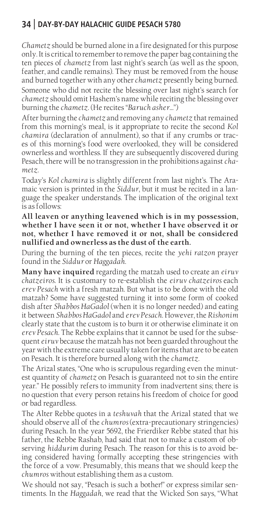*Chametz* should be burned alone in a fire designated for this purpose only. It is critical to remember to remove the paper bag containing the ten pieces of *chametz* from last night's search (as well as the spoon, feather, and candle remains). They must be removed from the house and burned together with any other *chametz* presently being burned. Someone who did not recite the blessing over last night's search for *chametz* should omit Hashem's name while reciting the blessing over burning the *chametz*. (He recites "*Baruch asher…*")

After burning the *chametz* and removing any *chametz* that remained from this morning's meal, is it appropriate to recite the second *Kol chamira* (declaration of annulment), so that if any crumbs or traces of this morning's food were overlooked, they will be considered ownerless and worthless. If they are subsequently discovered during Pesach, there will be no transgression in the prohibitions against *chametz*.

Today's *Kol chamira* is slightly different from last night's. The Aramaic version is printed in the *Siddur*, but it must be recited in a language the speaker understands. The implication of the original text is as follows:

**All leaven or anything leavened which is in my possession, whether I have seen it or not, whether I have observed it or not, whether I have removed it or not, shall be considered nullified and ownerless as the dust of the earth.**

During the burning of the ten pieces, recite the *yehi ratzon* prayer found in the *Siddur* or *Haggadah*.

**Many have inquired** regarding the matzah used to create an *eiruv chatzeiros*. It is customary to re-establish the *eiruv chatzeiros* each *erev Pesach* with a fresh matzah. But what is to be done with the old matzah? Some have suggested turning it into some form of cooked dish after *Shabbos HaGadol* (when it is no longer needed) and eating it between *Shabbos HaGadol* and *erev Pesach*. However, the *Rishonim*  clearly state that the custom is to burn it or otherwise eliminate it on *erev Pesach*. The Rebbe explains that it cannot be used for the subsequent *eiruv* because the matzah has not been guarded throughout the year with the extreme care usually taken for items that are to be eaten on Pesach. It is therefore burned along with the *chametz*.

The Arizal states, "One who is scrupulous regarding even the minutest quantity of *chametz* on Pesach is guaranteed not to sin the entire year." He possibly refers to immunity from inadvertent sins; there is no question that every person retains his freedom of choice for good or bad regardless.

The Alter Rebbe quotes in a *teshuvah* that the Arizal stated that we should observe all of the *chumros* (extra-precautionary stringencies) during Pesach. In the year 5692, the Frierdiker Rebbe stated that his father, the Rebbe Rashab, had said that not to make a custom of observing *hiddurim* during Pesach. The reason for this is to avoid being considered having formally accepting these stringencies with the force of a vow. Presumably, this means that we should keep the *chumros* without establishing them as a custom.

We should not say, "Pesach is such a bother!" or express similar sentiments. In the *Haggadah*, we read that the Wicked Son says, "What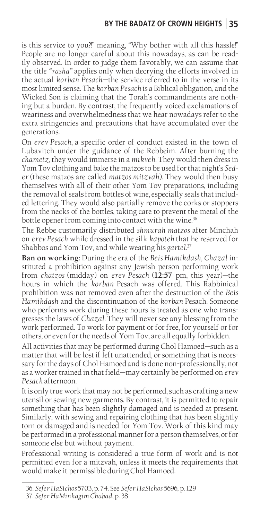is this service to you?!" meaning, "Why bother with all this hassle!" People are no longer careful about this nowadays, as can be readily observed. In order to judge them favorably, we can assume that the title *"rasha"* applies only when decrying the efforts involved in the actual *korban Pesach*—the service referred to in the verse in its most limited sense. The *korban Pesach* is a Biblical obligation, and the Wicked Son is claiming that the Torah's commandments are nothing but a burden. By contrast, the frequently voiced exclamations of weariness and overwhelmedness that we hear nowadays refer to the extra stringencies and precautions that have accumulated over the generations.

On *erev Pesach*, a specific order of conduct existed in the town of Lubavitch under the guidance of the Rebbeim. After burning the *chametz*, they would immerse in a *mikveh*. They would then dress in Yom Tov clothing and bake the matzos to be used for that night's *Seder* (these matzos are called *matzos mitzvah*). They would then busy themselves with all of their other Yom Tov preparations, including the removal of seals from bottles of wine, especially seals that included lettering. They would also partially remove the corks or stoppers from the necks of the bottles, taking care to prevent the metal of the bottle opener from coming into contact with the wine.<sup>36</sup>

The Rebbe customarily distributed *shmurah matzos* after Minchah on *erev Pesach* while dressed in the silk *kapoteh* that he reserved for Shabbos and Yom Tov, and while wearing his *gartel*. 37

**Ban on working:** During the era of the *Beis Hamikdash*, *Chazal* instituted a prohibition against any Jewish person performing work from *chatzos* (midday) on *erev Pesach* (**12:57** pm, this year)—the hours in which the *korban* Pesach was offered. This Rabbinical prohibition was not removed even after the destruction of the *Beis Hamikdash* and the discontinuation of the *korban* Pesach. Someone who performs work during these hours is treated as one who transgresses the laws of *Chazal*. They will never see any blessing from the work performed. To work for payment or for free, for yourself or for others, or even for the needs of Yom Tov, are all equally forbidden.

All activities that may be performed during Chol Hamoed—such as a matter that will be lost if left unattended, or something that is necessary for the days of Chol Hamoed and is done non-professionally, not as a worker trained in that field—may certainly be performed on *erev Pesach* afternoon.

It is only true work that may not be performed, such as crafting a new utensil or sewing new garments. By contrast, it is permitted to repair something that has been slightly damaged and is needed at present. Similarly, with sewing and repairing clothing that has been slightly torn or damaged and is needed for Yom Tov. Work of this kind may be performed in a professional manner for a person themselves, or for someone else but without payment.

Professional writing is considered a true form of work and is not permitted even for a mitzvah, unless it meets the requirements that would make it permissible during Chol Hamoed.

<sup>36.</sup> *Sefer HaSichos* 5703, p. 74. See *Sefer HaSichos* 5696, p. 129

<sup>37.</sup> *Sefer HaMinhagim Chabad*, p. 38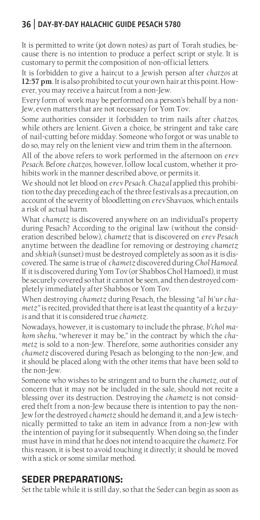It is permitted to write (jot down notes) as part of Torah studies, because there is no intention to produce a perfect script or style. It is customary to permit the composition of non-official letters.

It is forbidden to give a haircut to a Jewish person after *chatzos* at **12:57 pm**. It is also prohibited to cut your own hair at this point. However, you may receive a haircut from a non-Jew.

Every form of work may be performed on a person's behalf by a non-Jew, even matters that are not necessary for Yom Tov.

Some authorities consider it forbidden to trim nails after *chatzos*, while others are lenient. Given a choice, be stringent and take care of nail-cutting before midday. Someone who forgot or was unable to do so, may rely on the lenient view and trim them in the afternoon.

All of the above refers to work performed in the afternoon on *erev Pesach*. Before *chatzos*, however, follow local custom, whether it prohibits work in the manner described above, or permits it.

We should not let blood on *erev Pesach*. *Chazal* applied this prohibition to the day preceding each of the three festivals as a precaution, on account of the severity of bloodletting on *erev* Shavuos, which entails a risk of actual harm.

What *chametz* is discovered anywhere on an individual's property during Pesach? According to the original law (without the consideration described below), *chametz* that is discovered on *erev Pesach*  anytime between the deadline for removing or destroying *chametz*  and *shkiah* (sunset) must be destroyed completely as soon as it is discovered. The same is true of *chametz* discovered during *Chol Hamoed*. If it is discovered during Yom Tov (or Shabbos Chol Hamoed), it must be securely covered so that it cannot be seen, and then destroyed completely immediately after Shabbos or Yom Tov.

When destroying *chametz* during Pesach, the blessing "*al bi'ur chametz"* is recited, provided that there is at least the quantity of a *kezayis* and that it is considered true *chametz*.

Nowadays, however, it is customary to include the phrase, *b'chol makom shehu*, "wherever it may be," in the contract by which the *chametz* is sold to a non-Jew. Therefore, some authorities consider any *chametz* discovered during Pesach as belonging to the non-Jew, and it should be placed along with the other items that have been sold to the non-Jew.

Someone who wishes to be stringent and to burn the *chametz*, out of concern that it may not be included in the sale, should not recite a blessing over its destruction. Destroying the *chametz* is not considered theft from a non-Jew because there is intention to pay the non-Jew for the destroyed *chametz* should he demand it, and a Jew is technically permitted to take an item in advance from a non-Jew with the intention of paying for it subsequently. When doing so, the finder must have in mind that he does not intend to acquire the *chametz*. For this reason, it is best to avoid touching it directly; it should be moved with a stick or some similar method.

# **SEDER PREPARATIONS:**

Set the table while it is still day, so that the Seder can begin as soon as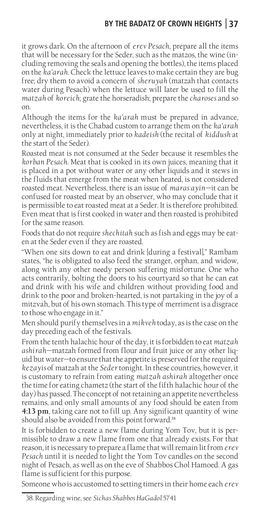### **BY THE BADATZ OF CROWN HEIGHTS 37**

it grows dark. On the afternoon of *erev Pesach*, prepare all the items that will be necessary for the Seder, such as the matzos, the wine (including removing the seals and opening the bottles), the items placed on the *ka'arah*. Check the lettuce leaves to make certain they are bug free; dry them to avoid a concern of *sheruyah* (matzah that contacts water during Pesach) when the lettuce will later be used to fill the *matzah* of *koreich*; grate the horseradish; prepare the *charoses* and so on.

Although the items for the *ka'arah* must be prepared in advance, nevertheless, it is the Chabad custom to arrange them on the *ka'arah* only at night, immediately prior to *kadeish* (the recital of *kiddush* at the start of the Seder).

Roasted meat is not consumed at the Seder because it resembles the *korban Pesach*. Meat that is cooked in its own juices, meaning that it is placed in a pot without water or any other liquids and it stews in the fluids that emerge from the meat when heated, is not considered roasted meat. Nevertheless, there is an issue of *maras ayin—*it can be confused for roasted meat by an observer, who may conclude that it is permissible to eat roasted meat at a Seder. It is therefore prohibited. Even meat that is first cooked in water and then roasted is prohibited for the same reason.

Foods that do not require *shechitah* such as fish and eggs may be eaten at the Seder even if they are roasted.

"When one sits down to eat and drink [during a festival]," Rambam states, "he is obligated to also feed the stranger, orphan, and widow, along with any other needy person suffering misfortune. One who acts contrarily, bolting the doors to his courtyard so that he can eat and drink with his wife and children without providing food and drink to the poor and broken-hearted, is not partaking in the joy of a mitzvah, but of his own stomach. This type of merriment is a disgrace to those who engage in it."

Men should purify themselves in a *mikveh* today, as is the case on the day preceding each of the festivals.

From the tenth halachic hour of the day, it is forbidden to eat *matzah ashirah*—matzah formed from flour and fruit juice or any other liquid but water—to ensure that the appetite is preserved for the required *kezayis* of matzah at the *Seder* tonight. In these countries, however, it is customary to refrain from eating *matzah ashirah* altogether once the time for eating chametz (the start of the fifth halachic hour of the day) has passed. The concept of not retaining an appetite nevertheless remains, and only small amounts of any food should be eaten from **4:13 pm**, taking care not to fill up. Any significant quantity of wine should also be avoided from this point forward.<sup>38</sup>

It is forbidden to create a new flame during Yom Tov, but it is permissible to draw a new flame from one that already exists. For that reason, it is necessary to prepare a flame that will remain lit from *erev Pesach* until it is needed to light the Yom Tov candles on the second night of Pesach, as well as on the eve of Shabbos Chol Hamoed. A gas flame is sufficient for this purpose.

Someone who is accustomed to setting timers in their home each *erev* 

<sup>38.</sup> Regarding wine, see *Sichas Shabbos HaGadol* 5741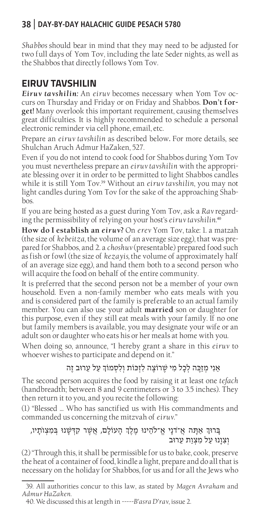*Shabbos* should bear in mind that they may need to be adjusted for two full days of Yom Tov, including the late Seder nights, as well as the Shabbos that directly follows Yom Tov.

# **EIRUV TAVSHILIN**

*Eiruv tavshilin:* An *eiruv* becomes necessary when Yom Tov occurs on Thursday and Friday or on Friday and Shabbos. **Don't forget!** Many overlook this important requirement, causing themselves great difficulties. It is highly recommended to schedule a personal electronic reminder via cell phone, email, etc.

Prepare an *eiruv tavshilin* as described below**.** For more details, see Shulchan Aruch Admur HaZaken, 527.

Even if you do not intend to cook food for Shabbos during Yom Tov you must nevertheless prepare an *eiruv tavshilin* with the appropriate blessing over it in order to be permitted to light Shabbos candles while it is still Yom Tov.<sup>39</sup> Without an *eiruv tavshilin*, you may not light candles during Yom Tov for the sake of the approaching Shabbos.

If you are being hosted as a guest during Yom Tov, ask a *Rav* regarding the permissibility of relying on your host's *eiruv tavshilin.*<sup>40</sup>

**How do I establish an** *eiruv***?** On *erev* Yom Tov, take: 1. a matzah (the size of *kebeitza*, the volume of an average size egg), that was prepared for Shabbos, and 2. a *choshuv* (presentable) prepared food such as fish or fowl (the size of *kezayis,* the volume of approximately half of an average size egg), and hand them both to a second person who will acquire the food on behalf of the entire community.

It is preferred that the second person not be a member of your own household. Even a non-family member who eats meals with you and is considered part of the family is preferable to an actual family member. You can also use your adult **married** son or daughter for this purpose, even if they still eat meals with your family. If no one but family members is available, you may designate your wife or an adult son or daughter who eats his or her meals at home with you.

When doing so, announce, "I hereby grant a share in this *eiruv* to whoever wishes to participate and depend on it."

#### אַנִי מְזַכֶה לְכָל מִי שֶרֹוצֶה לִזְּכֹות וְלִסְמֹוְך עַל עֵרּוב זֶה

The second person acquires the food by raising it at least one *tefach*  (handbreadth; between 8 and 9 centimeters or 3 to 3.5 inches). They then return it to you, and you recite the following:

(1) "Blessed … Who has sanctified us with His commandments and commanded us concerning the mitzvah of *eiruv.*"

#### ָבְרוּךְ אַתָּה אֲ־דֹנֵי אֱ־לֹהֶינוּ מֶלֶךְ הַעוֹלָם, אֲשֶר קִדְּשָׁנוּ בְּמִצְוֹתֵיו, וְצִוָנּו עַל מִצְוַת עֵרּוב

(2) "Through this, it shall be permissible for us to bake, cook, preserve the heat of a container of food, kindle a light, prepare and do all that is necessary on the holiday for Shabbos, for us and for all the Jews who

<sup>39.</sup> All authorities concur to this law, as stated by *Magen Avraham* and *Admur HaZaken*.

<sup>40.</sup> We discussed this at length in *-----B'asra D'rav*, issue 2.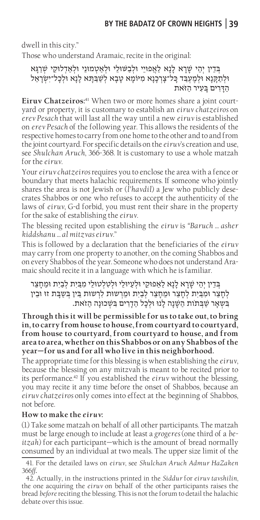dwell in this city."

Those who understand Aramaic, recite in the original:

בְ דֵין יְהֵי שָָרא לָנָא לַאֲפּויֵי ּולְבַּׁשּולֵי ּולְאַטְמּונֵי ּולְאַדְלּוקֵי שְַרגָא ּולְתַקָ נָא ּולְמֶעְבַ ד כָל־צְָרכָנָא מִּיֹומָא טָבָא לְשַבַ תָ א לָנָא ּולְכָל־יִשְָראֵל הדִּרים בַּעִיר הזֹאת

**Eiruv Chatzeiros:**41 When two or more homes share a joint courtyard or property, it is customary to establish an *eiruv chatzeiros* on *erev Pesach* that will last all the way until a new *eiruv* is established on *erev Pesach* of the following year. This allows the residents of the respective homes to carry from one home to the other and to and from the joint courtyard. For specific details on the *eiruv*'s creation and use, see *Shulchan Aruch*, 366-368. It is customary to use a whole matzah for the *eiruv*.

Your *eiruv chatzeiros* requires you to enclose the area with a fence or boundary that meets halachic requirements. If someone who jointly shares the area is not Jewish or (*l'havdil*) a Jew who publicly desecrates Shabbos or one who refuses to accept the authenticity of the laws of *eiruv*, G-d forbid, you must rent their share in the property for the sake of establishing the *eiruv*.

The blessing recited upon establishing the *eiruv* is *"Baruch … asher kiddshanu … al mitzvas eiruv*."

This is followed by a declaration that the beneficiaries of the *eiruv*  may carry from one property to another, on the coming Shabbos and on every Shabbos of the year. Someone who does not understand Aramaic should recite it in a language with which he is familiar.

בְּדֵין יְהֵי שַּׁרַא לַנָא לַאַפּוּקֵי וּלְעַיוּלֵי וּלְטִלְטוּלֵי מִבַּיִת לְבַיִת וּמֵחָצֵר לְחַצֵר וּמְבֵית לְחַצֵר וּמֶחַצֵר לְבַיִת וּמֵרְשוּת לְרָשוּת בֵּין בִּשָּׁבַת זוּ וּבֵין ּבִ שְאָר שַּבְ תֹות הַׁשָנָה לָנּו ּולְכָל הַדִָרים ִּבׁשְכּונָה הַזֹאת.

**Through this it will be permissible for us to take out, to bring in, to carry from house to house, from courtyard to courtyard, from house to courtyard, from courtyard to house, and from area to area, whether on this Shabbos or on any Shabbos of the year—for us and for all who live in this neighborhood.**

The appropriate time for this blessing is when establishing the *eiruv*, because the blessing on any mitzvah is meant to be recited prior to its performance.<sup>42</sup> If you established the *eiruv* without the blessing, you may recite it any time before the onset of Shabbos, because an *eiruv chatzeiros* only comes into effect at the beginning of Shabbos, not before.

#### **How to make the** *eiruv***:**

(1) Take some matzah on behalf of all other participants. The matzah must be large enough to include at least a *grogeres* (one third of a *beitzah*) for each participant—which is the amount of bread normally consumed by an individual at two meals. The upper size limit of the

41. For the detailed laws on *eiruv*, see *Shulchan Aruch Admur HaZaken* 366*ff***.**

42. Actually, in the instructions printed in the *Siddur* for *eiruv tavshilin*, the one acquiring the *eiruv* on behalf of the other participants raises the bread *before* reciting the blessing. This is not the forum to detail the halachic debate over this issue.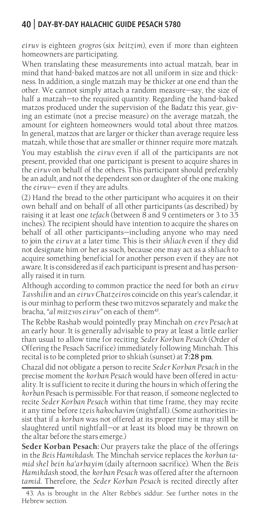*eiruv* is eighteen *grogros* (six *beitzim*)*,* even if more than eighteen homeowners are participating.

When translating these measurements into actual matzah, bear in mind that hand-baked matzos are not all uniform in size and thickness. In addition, a single matzah may be thicker at one end than the other. We cannot simply attach a random measure—say, the size of half a matzah—to the required quantity. Regarding the hand-baked matzos produced under the supervision of the Badatz this year, giving an estimate (not a precise measure) on the average matzah, the amount for eighteen homeowners would total about three matzos. In general, matzos that are larger or thicker than average require less matzah, while those that are smaller or thinner require more matzah. You may establish the *eiruv* even if all of the participants are not present, provided that one participant is present to acquire shares in the *eiruv* on behalf of the others. This participant should preferably be an adult, and not the dependent son or daughter of the one making the *eiruv*— even if they are adults.

(2) Hand the bread to the other participant who acquires it on their own behalf and on behalf of all other participants (as described) by raising it at least one *tefach* (between 8 and 9 centimeters or 3 to 3.5 inches). The recipient should have intention to acquire the shares on behalf of all other participants—including anyone who may need to join the *eiruv* at a later time. This is their *shliach* even if they did not designate him or her as such, because one may act as a *shliach* to acquire something beneficial for another person even if they are not aware. It is considered as if each participant is present and has personally raised it in turn.

Although according to common practice the need for both an *eiruv Tavshilin* and an *eiruv Chatzeiros* coincide on this year's calendar, it is our minhag to perform these two mitzvos separately and make the bracha, "al mitzvos eiruv" on each of them<sup>43</sup>.

The Rebbe Rashab would pointedly pray Minchah on *erev Pesach* at an early hour. It is generally advisable to pray at least a little earlier than usual to allow time for reciting *Seder Korban Pesach* (Order of Offering the Pesach Sacrifice) immediately following Minchah. This recital is to be completed prior to shkiah (sunset) at **7:28 pm**.

Chazal did not obligate a person to recite *Seder Korban Pesach* in the precise moment the *korban Pesach* would have been offered in actuality. It is sufficient to recite it during the hours in which offering the *korban* Pesach is permissible. For that reason, if someone neglected to recite *Seder Korban Pesach* within that time frame, they may recite it any time before *tzeis hakochavim* (nightfall). (Some authorities insist that if a *korban* was not offered at its proper time it may still be slaughtered until nightfall—or at least its blood may be thrown on the altar before the stars emerge.)

**Seder Korban Pesach:** Our prayers take the place of the offerings in the *Beis Hamikdash*. The Minchah service replaces the *korban tamid shel bein ha'arbayim* (daily afternoon sacrifice). When the *Beis Hamikdash* stood, the *korban Pesach* was offered after the afternoon *tamid*. Therefore, the *Seder Korban Pesach* is recited directly after

<sup>43.</sup> As is brought in the Alter Rebbe's siddur. See further notes in the Hebrew section.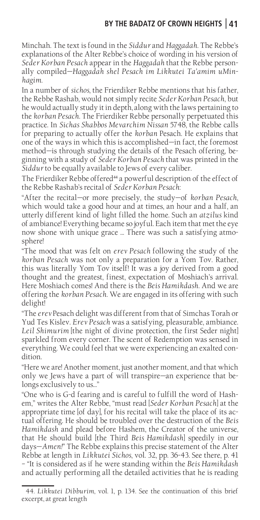### **BY THE BADATZ OF CROWN HEIGHTS 41**

Minchah. The text is found in the *Siddur* and *Haggadah*. The Rebbe's explanations of the Alter Rebbe's choice of wording in his version of *Seder Korban Pesach* appear in the *Haggadah* that the Rebbe personally compiled—*Haggadah shel Pesach im Likkutei Ta'amim uMinhagim*.

In a number of *sichos*, the Frierdiker Rebbe mentions that his father, the Rebbe Rashab, would not simply recite *Seder Korban Pesach*, but he would actually study it in depth, along with the laws pertaining to the *korban Pesach*. The Frierdiker Rebbe personally perpetuated this practice. In *Sichas Shabbos Mevarchim Nissan* 5748, the Rebbe calls for preparing to actually offer the *korban* Pesach. He explains that one of the ways in which this is accomplished—in fact, the foremost method—is through studying the details of the Pesach offering, beginning with a study of *Seder Korban Pesach* that was printed in the *Siddur* to be equally available to Jews of every caliber.

The Frierdiker Rebbe offered<sup>44</sup> a powerful description of the effect of the Rebbe Rashab's recital of *Seder Korban Pesach*:

"After the recital—or more precisely, the study—of *korban Pesach*, which would take a good hour and at times, an hour and a half, an utterly different kind of light filled the home. Such an *atzilus* kind of ambiance! Everything became so joyful. Each item that met the eye now shone with unique grace … There was such a satisfying atmosphere!

"The mood that was felt on *erev Pesach* following the study of the *korban Pesach* was not only a preparation for a Yom Tov. Rather, this was literally Yom Tov itself! It was a joy derived from a good thought and the greatest, finest, expectation of Moshiach's arrival. Here Moshiach comes! And there is the *Beis Hamikdash*. And we are offering the *korban Pesach*. We are engaged in its offering with such delight!

"The *erev* Pesach delight was different from that of Simchas Torah or Yud Tes Kislev. *Erev Pesach* was a satisfying, pleasurable, ambiance. Leil Shimurim *[the night of divine protection*, the first Seder night] sparkled from every corner. The scent of Redemption was sensed in everything. We could feel that we were experiencing an exalted condition.

"Here we are! Another moment, just another moment, and that which only we Jews have a part of will transpire—an experience that belongs exclusively to us…"

"One who is G-d fearing and is careful to fulfill the word of Hashem," writes the Alter Rebbe, "must read [*Seder Korban Pesach*] at the appropriate time [of day], for his recital will take the place of its actual offering. He should be troubled over the destruction of the *Beis Hamikdash* and plead before Hashem, the Creator of the universe, that He should build [the Third *Beis Hamikdash*] speedily in our days—*Amen!*" The Rebbe explains this precise statement of the Alter Rebbe at length in *Likkutei Sichos*, vol. 32, pp. 36-43. See there, p. 41 – "It is considered as if he were standing within the *Beis Hamikdash*  and actually performing all the detailed activities that he is reading

<sup>44.</sup> *Likkutei Dibburim*, vol. 1, p. 134. See the continuation of this brief excerpt, at great length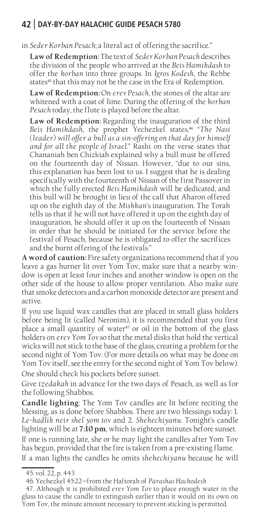in *Seder Korban Pesach*; a literal act of offering the sacrifice."

**Law of Redemption:** The text of *Seder Korban Pesach* describes the division of the people who arrived at the *Beis Hamikdash* to offer the *korban* into three groups. In *Igros Kodesh*, the Rebbe states<sup>45</sup> that this may not be the case in the Era of Redemption.

**Law of Redemption:** On *erev Pesach*, the stones of the altar are whitened with a coat of lime. During the offering of the *korban Pesach* today, the flute is played before the altar.

**Law of Redemption:** Regarding the inauguration of the third *Beis Hamikdash*, the prophet Yechezkel states,<sup>46</sup> "*The Nasi (leader) will offer a bull as a sin-offering on that day for himself and for all the people of Israel.*" Rashi on the verse states that Chananiah ben Chizkiah explained why a bull must be offered on the fourteenth day of Nissan. However, "due to our sins, this explanation has been lost to us. I suggest that he is dealing specifically with the fourteenth of Nissan of the first Passover in which the fully erected *Beis Hamikdash* will be dedicated, and this bull will be brought in lieu of the calf that Aharon offered up on the eighth day of the *Mishkan*'s inauguration. The Torah tells us that if he will not have offered it up on the eighth day of inauguration, he should offer it up on the fourteenth of Nissan in order that he should be initiated for the service before the festival of Pesach, because he is obligated to offer the sacrifices and the burnt offering of the festivals."

**A word of caution:** Fire safety organizations recommend that if you leave a gas burner lit over Yom Tov, make sure that a nearby window is open at least four inches and another window is open on the other side of the house to allow proper ventilation. Also make sure that smoke detectors and a carbon monoxide detector are present and active.

If you use liquid wax candles that are placed in small glass holders before being lit (called Neronim), it is recommended that you first place a small quantity of water<sup>47</sup> or oil in the bottom of the glass holders on *erev Yom Tov* so that the metal disks that hold the vertical wicks will not stick to the base of the glass, creating a problem for the second night of Yom Tov. (For more details on what may be done on Yom Tov itself, see the entry for the second night of Yom Tov below).

One should check his pockets before sunset.

Give *tzedakah* in advance for the two days of Pesach, as well as for the following Shabbos.

**Candle lighting**: The Yom Tov candles are lit before reciting the blessing, as is done before Shabbos. There are two blessings today: 1. *Le-hadlik neir shel yom tov* and 2. *Shehechiyanu*. Tonight's candle lighting will be at **7:10 pm**, which is eighteen minutes before sunset.

If one is running late, she or he may light the candles after Yom Tov has begun, provided that the fire is taken from a pre-existing flame. If a man lights the candles he omits *shehechiyanu* because he will

<sup>45.</sup> vol. 22, p. 443

<sup>46.</sup> Yechezkel 45:22—from the Haftorah of *Parashas Hachodesh*

<sup>47.</sup> Although it is prohibited *erev Yom Tov* to place enough water in the glass to cause the candle to extinguish earlier than it would on its own on Yom Tov, the minute amount necessary to prevent sticking is permitted.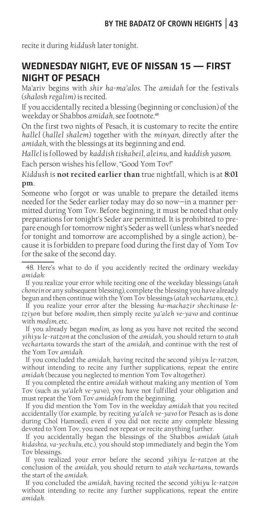recite it during *kiddush* later tonight.

## **WEDNESDAY NIGHT, EVE OF NISSAN 15 — FIRST NIGHT OF PESACH**

Ma'ariv begins with *shir ha-ma'alos*. The *amidah* for the festivals (*shalosh regalim*) is recited.

If you accidentally recited a blessing (beginning or conclusion) of the weekday or Shabbos *amidah*, see footnote.<sup>48</sup>

On the first two nights of Pesach, it is customary to recite the entire *hallel* (*hallel shalem*) together with the *minyan*, directly after the *amidah*, with the blessings at its beginning and end.

*Hallel* is followed by *kaddish tiskabeil*, *aleinu*, and *kaddish yasom*.

Each person wishes his fellow, "Good Yom Tov!"

*Kiddush* is **not recited earlier than** true nightfall, which is at **8:01 pm**.

Someone who forgot or was unable to prepare the detailed items needed for the Seder earlier today may do so now—in a manner permitted during Yom Tov. Before beginning, it must be noted that only preparations for tonight's Seder are permitted. It is prohibited to prepare enough for tomorrow night's Seder as well (unless what's needed for tonight and tomorrow are accomplished by a single action), because it is forbidden to prepare food during the first day of Yom Tov for the sake of the second day.

48. Here's what to do if you accidently recited the ordinary weekday *amidah*:

If you realize your error while reciting one of the weekday blessings (*atah chonein* or any subsequent blessing), complete the blessing you have already begun and then continue with the Yom Tov blessings (*atah vechartanu*, etc.).

If you realize your error after the blessing *ha-machazir shechinaso letziyon* but before *modim,* then simply recite *ya'aleh ve-yavo* and continue with *modim,* etc.

If you already began *modim*, as long as you have not recited the second *yihiyu le-ratzon* at the conclusion of the *amidah*, you should return to *atah vechartanu* towards the start of the *amidah*, and continue with the rest of the Yom Tov *amidah*.

If you concluded the *amidah*, having recited the second *yihiyu le-ratzon,*  without intending to recite any further supplications, repeat the entire *amidah* (because you neglected to mention Yom Tov altogether).

If you completed the entire *amidah* without making any mention of Yom Tov (such as *ya'aleh ve-yavo*), you have not fulfilled your obligation and must repeat the Yom Tov *amidah* from the beginning.

If you did mention the Yom Tov in the weekday *amidah* that you recited accidentally (for example, by reciting *ya'aleh ve-yavo* for Pesach as is done during Chol Hamoed), even if you did not recite any complete blessing devoted to Yom Tov, you need not repeat or recite anything further.

If you accidentally began the blessings of the Shabbos *amidah* (*atah kidashta*, *va-yechulu*, etc.), you should stop immediately and begin the Yom Tov blessings.

If you realized your error before the second *yihiyu le-ratzon* at the conclusion of the *amidah*, you should return to *atah vechartanu*, towards the start of the *amidah*.

If you concluded the *amidah*, having recited the second *yihiyu le-ratzon*  without intending to recite any further supplications, repeat the entire *amidah*.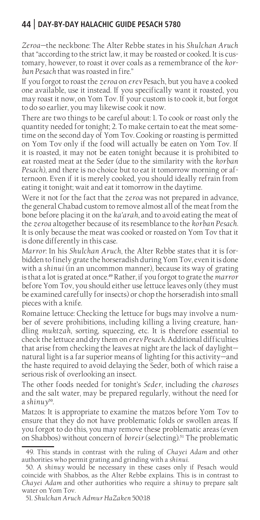*Zeroa*—the neckbone: The Alter Rebbe states in his *Shulchan Aruch*  that "according to the strict law, it may be roasted or cooked. It is customary, however, to roast it over coals as a remembrance of the *korban Pesach* that was roasted in fire."

If you forgot to roast the *zeroa* on *erev* Pesach, but you have a cooked one available, use it instead. If you specifically want it roasted, you may roast it now, on Yom Tov. If your custom is to cook it, but forgot to do so earlier, you may likewise cook it now.

There are two things to be careful about: 1. To cook or roast only the quantity needed for tonight; 2. To make certain to eat the meat sometime on the second day of Yom Tov. Cooking or roasting is permitted on Yom Tov only if the food will actually be eaten on Yom Tov. If it is roasted, it may not be eaten tonight because it is prohibited to eat roasted meat at the Seder (due to the similarity with the *korban Pesach*), and there is no choice but to eat it tomorrow morning or afternoon. Even if it is merely cooked, you should ideally refrain from eating it tonight; wait and eat it tomorrow in the daytime.

Were it not for the fact that the *zeroa* was not prepared in advance, the general Chabad custom to remove almost all of the meat from the bone before placing it on the *ka'arah*, and to avoid eating the meat of the *zeroa* altogether because of its resemblance to the *korban Pesach*. It is only because the meat was cooked or roasted on Yom Tov that it is done differently in this case.

*Marror*: In his *Shulchan Aruch*, the Alter Rebbe states that it is forbidden to finely grate the horseradish during Yom Tov, even it is done with a *shinui* (in an uncommon manner), because its way of grating is that a lot is grated at once.<sup>49</sup> Rather, if you forgot to grate the *marror* before Yom Tov, you should either use lettuce leaves only (they must be examined carefully for insects) or chop the horseradish into small pieces with a knife.

Romaine lettuce: Checking the lettuce for bugs may involve a number of severe prohibitions, including killing a living creature, handling *muktzah*, sorting, squeezing, etc. It is therefore essential to check the lettuce and dry them on *erev Pesach*. Additional difficulties that arise from checking the leaves at night are the lack of daylight natural light is a far superior means of lighting for this activity—and the haste required to avoid delaying the Seder, both of which raise a serious risk of overlooking an insect.

The other foods needed for tonight's *Seder*, including the *charoses*  and the salt water, may be prepared regularly, without the need for a *shinuy*<sup>50</sup>.

Matzos: It is appropriate to examine the matzos before Yom Tov to ensure that they do not have problematic folds or swollen areas. If you forgot to do this, you may remove these problematic areas (even on Shabbos) without concern of *boreir* (selecting).<sup>51</sup> The problematic

<sup>49.</sup> This stands in contrast with the ruling of *Chayei Adam* and other authorities who permit grating and grinding with a *shinui*.

<sup>50.</sup> A *shinuy* would be necessary in these cases only if Pesach would coincide with Shabbos, as the Alter Rebbe explains. This is in contrast to *Chayei Adam* and other authorities who require a *shinuy* to prepare salt water on Yom Tov.

<sup>51.</sup> *Shulchan Aruch Admur HaZaken* 500:18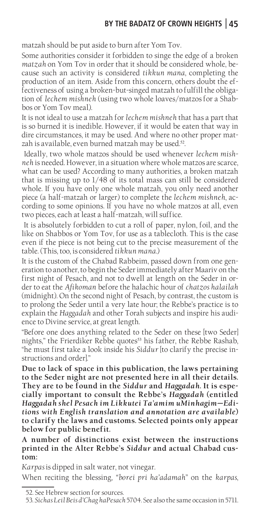matzah should be put aside to burn after Yom Tov.

Some authorities consider it forbidden to singe the edge of a broken *matzah* on Yom Tov in order that it should be considered whole, because such an activity is considered *tikkun mana*, completing the production of an item. Aside from this concern, others doubt the effectiveness of using a broken-but-singed matzah to fulfill the obligation of *lechem mishneh* (using two whole loaves/matzos for a Shabbos or Yom Tov meal).

It is not ideal to use a matzah for *lechem mishneh* that has a part that is so burned it is inedible. However, if it would be eaten that way in dire circumstances, it may be used. And where no other proper matzah is available, even burned matzah may be used.<sup>52</sup>.

 Ideally, two whole matzos should be used whenever *lechem mishneh* is needed. However, in a situation where whole matzos are scarce, what can be used? According to many authorities, a broken matzah that is missing up to 1/48 of its total mass can still be considered whole. If you have only one whole matzah, you only need another piece (a half-matzah or larger) to complete the *lechem mishneh*, according to some opinions. If you have no whole matzos at all, even two pieces, each at least a half-matzah, will suffice.

 It is absolutely forbidden to cut a roll of paper, nylon, foil, and the like on Shabbos or Yom Tov, for use as a tablecloth. This is the case even if the piece is not being cut to the precise measurement of the table. (This, too, is considered *tikkun mana*.)

It is the custom of the Chabad Rabbeim, passed down from one generation to another, to begin the Seder immediately after Maariv on the first night of Pesach, and not to dwell at length on the Seder in order to eat the *Afikoman* before the halachic hour of *chatzos halailah* (midnight). On the second night of Pesach, by contrast, the custom is to prolong the Seder until a very late hour; the Rebbe's practice is to explain the *Haggadah* and other Torah subjects and inspire his audience to Divine service, at great length.

"Before one does anything related to the Seder on these [two Seder] nights," the Frierdiker Rebbe quotes<sup>53</sup> his father, the Rebbe Rashab, "he must first take a look inside his *Siddur* [to clarify the precise instructions and order]."

**Due to lack of space in this publication, the laws pertaining to the Seder night are not presented here in all their details. They are to be found in the** *Siddur* **and** *Haggadah***. It is especially important to consult the Rebbe's** *Haggadah* **(entitled**  *Haggadah shel Pesach im Likkutei Ta'amim uMinhagim—Editions with English translation and annotation are available***) to clarify the laws and customs. Selected points only appear below for public benefit.**

**A number of distinctions exist between the instructions printed in the Alter Rebbe's** *Siddur* **and actual Chabad custom:**

*Karpas* is dipped in salt water, not vinegar.

When reciting the blessing, *"borei pri ha'adamah*" on the *karpas*,

<sup>52.</sup> See Hebrew section for sources.

<sup>53.</sup> *Sichas Leil Beis d'Chag haPesach* 5704. See also the same occasion in5711.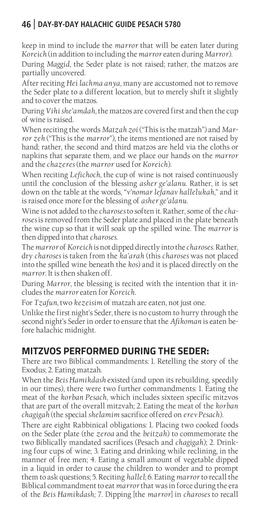keep in mind to include the *marror* that will be eaten later during *Koreich* (in addition to including the *marror* eaten during *Marror*).

During *Maggid*, the Seder plate is not raised; rather, the matzos are partially uncovered.

After reciting *Hei lachma anya*, many are accustomed not to remove the Seder plate to a different location, but to merely shift it slightly and to cover the matzos.

During *Vihi she'amdah*, the matzos are covered first and then the cup of wine is raised.

When reciting the words *Matzah zoi* ("This is the matzah") and *Marror zeh* ("This is the *marror*"), the items mentioned are not raised by hand; rather, the second and third matzos are held via the cloths or napkins that separate them, and we place our hands on the *marror*  and the *chazeres* (the *marror* used for *Koreich*).

When reciting *Lefichoch*, the cup of wine is not raised continuously until the conclusion of the blessing *asher ge'alanu*. Rather, it is set down on the table at the words, *"v'nomar lefanav hallelukah*," and it is raised once more for the blessing of *asher ge'alanu*.

Wine is not added to the *charoses* to soften it. Rather, some of the *charoses* is removed from the Seder plate and placed in the plate beneath the wine cup so that it will soak up the spilled wine. The *marror* is then dipped into that *charoses*.

The *marror* of *Koreich* is not dipped directly into the *charoses*. Rather, dry *charoses* is taken from the *ka'arah* (this *charoses* was not placed into the spilled wine beneath the *kos*) and it is placed directly on the *marror*. It is then shaken off.

During *Marror*, the blessing is recited with the intention that it includes the *marror* eaten for *Koreich*.

For *Tzafun*, two *kezeisim* of matzah are eaten, not just one.

Unlike the first night's Seder, there is no custom to hurry through the second night's Seder in order to ensure that the *Afikoman* is eaten before halachic midnight.

# **MITZVOS PERFORMED DURING THE SEDER:**

There are two Biblical commandments: 1. Retelling the story of the Exodus; 2. Eating matzah.

When the *Beis Hamikdash* existed (and upon its rebuilding, speedily in our times), there were two further commandments: 1. Eating the meat of the *korban Pesach*, which includes sixteen specific mitzvos that are part of the overall mitzvah; 2. Eating the meat of the *korban chagigah* (the special *shelamim* sacrifice offered on *erev Pesach*).

There are eight Rabbinical obligations: 1. Placing two cooked foods on the Seder plate (the *zeroa* and the *beitzah*) to commemorate the two Biblically mandated sacrifices (Pesach and *chagigah*); 2. Drinking four cups of wine; 3. Eating and drinking while reclining, in the manner of free men; 4. Eating a small amount of vegetable dipped in a liquid in order to cause the children to wonder and to prompt them to ask questions; 5. Reciting *hallel*; 6. Eating *marror* to recall the Biblical commandment to eat *marror* that was in force during the era of the *Beis Hamikdash;* 7. Dipping [the *marror*] in *charoses* to recall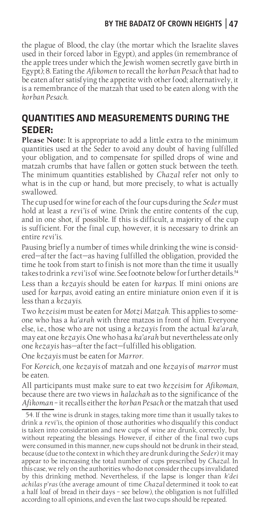## **BY THE BADATZ OF CROWN HEIGHTS 47**

the plague of Blood, the clay (the mortar which the Israelite slaves used in their forced labor in Egypt), and apples (in remembrance of the apple trees under which the Jewish women secretly gave birth in Egypt); 8. Eating the *Afikomen* to recall the *korban Pesach* that had to be eaten after satisfying the appetite with other food; alternatively, it is a remembrance of the matzah that used to be eaten along with the *korban Pesach*.

# **QUANTITIES AND MEASUREMENTS DURING THE SEDER:**

**Please Note:** It is appropriate to add a little extra to the minimum quantities used at the Seder to avoid any doubt of having fulfilled your obligation, and to compensate for spilled drops of wine and matzah crumbs that have fallen or gotten stuck between the teeth. The minimum quantities established by *Chazal* refer not only to what is in the cup or hand, but more precisely, to what is actually swallowed.

The cup used for wine for each of the four cups during the *Seder* must hold at least a *revi'is* of wine. Drink the entire contents of the cup, and in one shot, if possible. If this is difficult, a majority of the cup is sufficient. For the final cup, however, it is necessary to drink an entire *revi'is*.

Pausing briefly a number of times while drinking the wine is considered—after the fact—as having fulfilled the obligation, provided the time he took from start to finish is not more than the time it usually takes to drink a *revi'is* of wine. See footnote below for further details.<sup>54</sup>

Less than a *kezayis* should be eaten for *karpas*. If mini onions are used for *karpas*, avoid eating an entire miniature onion even if it is less than a *kezayis*.

Two *kezeisim* must be eaten for *Motzi Matzah*. This applies to someone who has a *ka'arah* with three matzos in front of him. Everyone else, i.e., those who are not using a *kezayis* from the actual *ka'arah*, may eat one *kezayis*. One who has a *ka'arah* but nevertheless ate only one *kezayis* has—after the fact—fulfilled his obligation.

One *kezayis* must be eaten for *Marror*.

For *Koreich*, one *kezayis* of matzah and one *kezayis* of *marror* must be eaten.

All participants must make sure to eat two *kezeisim* for *Afikoman*, because there are two views in *halachah* as to the significance of the *Afikoman* – it recalls either the *korban Pesach* or the matzah that used

54. If the wine is drunk in stages, taking more time than it usually takes to drink a *revi'is*, the opinion of those authorities who disqualify this conduct is taken into consideration and new cups of wine are drunk, correctly, but without repeating the blessings. However, if either of the final two cups were consumed in this manner, new cups should not be drunk in their stead, because (due to the context in which they are drunk during the *Seder*) it may appear to be increasing the total number of cups prescribed by *Chazal*. In this case, we rely on the authorities who do not consider the cups invalidated by this drinking method. Nevertheless, if the lapse is longer than *k'dei achilas p'ras* (the average amount of time *Chazal* determined it took to eat a half loaf of bread in their days - see below), the obligation is not fulfilled according to all opinions, and even the last two cups should be repeated.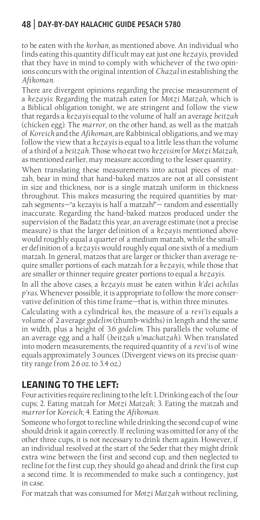to be eaten with the *korban*, as mentioned above. An individual who finds eating this quantity difficult may eat just one *kezayis*, provided that they have in mind to comply with whichever of the two opinions concurs with the original intention of *Chazal* in establishing the *Afikoman*.

There are divergent opinions regarding the precise measurement of a *kezayis*: Regarding the matzah eaten for *Motzi Matzah*, which is a Biblical obligation tonight, we are stringent and follow the view that regards a *kezayis* equal to the volume of half an average *beitzah*  (chicken egg). The *marror*, on the other hand, as well as the matzah of *Koreich* and the *Afikoman*, are Rabbinical obligations, and we may follow the view that a *kezayis* is equal to a little less than the volume of a third of a *beitzah*. Those who eat two *kezeisim* for *Motzi Matzah*, as mentioned earlier, may measure according to the lesser quantity.

When translating these measurements into actual pieces of matzah, bear in mind that hand-baked matzos are not at all consistent in size and thickness, nor is a single matzah uniform in thickness throughout. This makes measuring the required quantities by matzah segments—"a kezayis is half a matzah!"— random and essentially inaccurate. Regarding the hand-baked matzos produced under the supervision of the Badatz this year, an average estimate (not a precise measure) is that the larger definition of a *kezayis* mentioned above would roughly equal a quarter of a medium matzah, while the smaller definition of a *kezayis* would roughly equal one sixth of a medium matzah. In general, matzos that are larger or thicker than average require smaller portions of each matzah for a *kezayis*, while those that are smaller or thinner require greater portions to equal a *kezayis*.

In all the above cases, a *kezayis* must be eaten within *k'dei achilas p'ras*. Whenever possible, it is appropriate to follow the more conservative definition of this time frame—that is, within three minutes.

Calculating with a cylindrical *kos*, the measure of a *revi'is* equals a volume of 2 average *godelim* (thumb-widths) in length and the same in width, plus a height of 3.6 *godelim.* This parallels the volume of an average egg and a half (*beitzah u'machatzah*). When translated into modern measurements, the required quantity of a *revi'is* of wine equals approximately 3 ounces. (Divergent views on its precise quantity range from 2.6 oz. to 3.4 oz.)

# **LEANING TO THE LEFT:**

Four activities require reclining to the left: 1. Drinking each of the four cups; 2. Eating matzah for *Motzi Matzah;* 3. Eating the matzah and *marror* for *Koreich*; 4. Eating the *Afikoman*.

Someone who forgot to recline while drinking the second cup of wine should drink it again correctly. If reclining was omitted for any of the other three cups, it is not necessary to drink them again. However, if an individual resolved at the start of the Seder that they might drink extra wine between the first and second cup, and then neglected to recline for the first cup, they should go ahead and drink the first cup a second time. It is recommended to make such a contingency, just in case.

For matzah that was consumed for *Motzi Matzah* without reclining,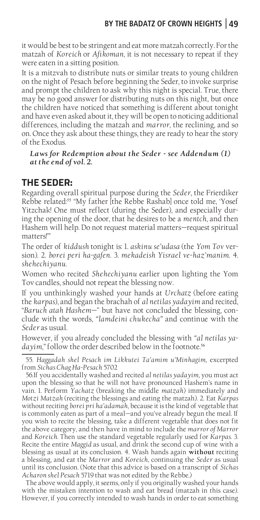it would be best to be stringent and eat more matzah correctly. For the matzah of *Koreich* or *Afikoman*, it is not necessary to repeat if they were eaten in a sitting position.

It is a mitzvah to distribute nuts or similar treats to young children on the night of Pesach before beginning the Seder, to invoke surprise and prompt the children to ask why this night is special. True, there may be no good answer for distributing nuts on this night, but once the children have noticed that something is different about tonight and have even asked about it, they will be open to noticing additional differences, including the matzah and *marror*, the reclining, and so on. Once they ask about these things, they are ready to hear the story of the Exodus.

#### *Laws for Redemption about the Seder - see Addendum (1) at the end of vol. 2.*

## **THE SEDER:**

Regarding overall spiritual purpose during the *Seder*, the Frierdiker Rebbe related:<sup>55</sup> "My father [the Rebbe Rashab] once told me, 'Yosef Yitzchak! One must reflect (during the Seder), and especially during the opening of the door, that he desires to be a *mentch*, and then Hashem will help. Do not request material matters—request spiritual matters!'"

The order of *kiddush* tonight is: 1. *askinu se'udasa* (the *Yom Tov* version). 2. *borei peri ha-gafen*. 3. *mekadeish Yisrael ve-haz'manim*. 4. *shehechiyanu*.

Women who recited *Shehechiyanu* earlier upon lighting the Yom Tov candles, should not repeat the blessing now.

If you unthinkingly washed your hands at *Urchatz* (before eating the *karpas*), and began the brachah of *al netilas yadayim* and recited, "*Baruch atah Hashem*—" but have not concluded the blessing, conclude with the words, *"lamdeini chukecha"* and continue with the *Seder* as usual.

However, if you already concluded the blessing with *"al netilas ya*dayim," follow the order described below in the footnote.<sup>56</sup>

55. *Haggadah shel Pesach im Likkutei Ta'amim u'Minhagim*, excerpted from *Sichas Chag Ha-Pesach* 5702

56.If you accidentally washed and recited *al netilas yadayim*, you must act upon the blessing so that he will not have pronounced Hashem's name in vain. 1. Perform *Yachatz* (breaking the middle *matzah*) immediately and *Motzi Matzah* (reciting the blessings and eating the matzah). 2. Eat *Karpas* without reciting *borei pri ha'adamah*, because it is the kind of vegetable that is commonly eaten as part of a meal—and you've already begun the meal. If you wish to recite the blessing, take a different vegetable that does not fit the above category, and then have in mind to include the *marror of Marror*  and *Koreich.* Then use the standard vegetable regularly used for *Karpas*. 3. Recite the entire *Maggid* as usual, and drink the second cup of wine with a blessing as usual at its conclusion. 4. Wash hands again **without** reciting a blessing, and eat the *Marror* and *Koreich*, continuing the *Seder* as usual until its conclusion. (Note that this advice is based on a transcript of *Sichas Acharon shel Pesach* 5719 that was not edited by the Rebbe.)

The above would apply, it seems, only if you originally washed your hands with the mistaken intention to wash and eat bread (matzah in this case). However, if you correctly intended to wash hands in order to eat something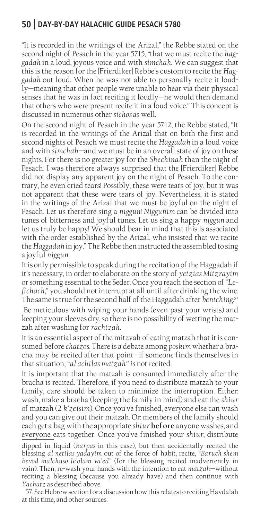"It is recorded in the writings of the Arizal," the Rebbe stated on the second night of Pesach in the year 5715, "that we must recite the *haggadah* in a loud, joyous voice and with *simchah*. We can suggest that this is the reason for the [Frierdiker] Rebbe's custom to recite the *Haggadah* out loud. When he was not able to personally recite it loudly—meaning that other people were unable to hear via their physical senses that he was in fact reciting it loudly—he would then demand that others who were present recite it in a loud voice." This concept is discussed in numerous other *sichos* as well.

On the second night of Pesach in the year 5712, the Rebbe stated, "It is recorded in the writings of the Arizal that on both the first and second nights of Pesach we must recite the *Haggadah* in a loud voice and with *simchah*—and we must be in an overall state of joy on these nights. For there is no greater joy for the *Shechinah* than the night of Pesach. I was therefore always surprised that the [Frierdiker] Rebbe did not display any apparent joy on the night of Pesach. To the contrary, he even cried tears! Possibly, these were tears of joy, but it was not apparent that these were tears of joy. Nevertheless, it is stated in the writings of the Arizal that we must be joyful on the night of Pesach. Let us therefore sing a *niggun*! *Niggunim* can be divided into tunes of bitterness and joyful tunes. Let us sing a happy *niggun* and let us truly be happy! We should bear in mind that this is associated with the order established by the Arizal, who insisted that we recite the *Haggadah* in joy." The Rebbe then instructed the assembled to sing a joyful *niggun*.

It is only permissible to speak during the recitation of the Haggadah if it's necessary, in order to elaborate on the story of *yetzias Mitzrayim* or something essential to the Seder. Once you reach the section of "*Lefichach*," you should not interrupt at all until after drinking the wine. The same is true for the second half of the Haggadah after *bentching*. 57

 Be meticulous with wiping your hands (even past your wrists) and keeping your sleeves dry, so there is no possibility of wetting the matzah after washing for *rachtzah*.

It is an essential aspect of the mitzvah of eating matzah that it is consumed before *chatzos*. There is a debate among *poskim* whether a bracha may be recited after that point—if someone finds themselves in that situation, *"al achilas matzah'' is* not recited.

It is important that the matzah is consumed immediately after the bracha is recited. Therefore, if you need to distribute matzah to your family, care should be taken to minimize the interruption. Either: wash, make a bracha (keeping the family in mind) and eat the *shiur*  of matzah (2 *k'zeisim*). Once you've finished, everyone else can wash and you can give out their matzah. Or: members of the family should each get a bag with the appropriate *shiur* **before** anyone washes, and everyone eats together. Once you've finished your *shiur*, distribute

dipped in liquid (*karpas* in this case), but then accidentally recited the blessing *al netilas yadayim* out of the force of habit, recite, *"Baruch shem kevod malchuso le'olam va'ed"* (for the blessing recited inadvertently in vain). Then, re-wash your hands with the intention to eat *matzah*—without reciting a blessing (because you already have) and then continue with *Yachatz* as described above.

57. See Hebrew section for a discussion how this relates to reciting Havdalah at this time, and other sources.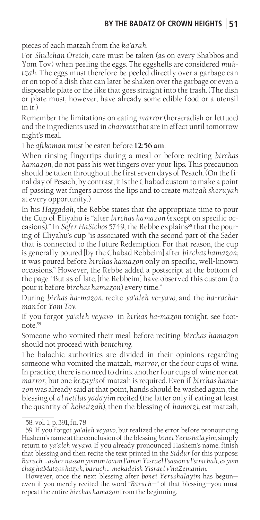pieces of each matzah from the *ka'arah*.

For *Shulchan Oreich*, care must be taken (as on every Shabbos and Yom Tov) when peeling the eggs. The eggshells are considered *muktzah*. The eggs must therefore be peeled directly over a garbage can or on top of a dish that can later be shaken over the garbage or even a disposable plate or the like that goes straight into the trash. (The dish or plate must, however, have already some edible food or a utensil in it.)

Remember the limitations on eating *marror* (horseradish or lettuce) and the ingredients used in *charoses* that are in effect until tomorrow night's meal.

The *afikoman* must be eaten before **12:56 am**.

When rinsing fingertips during a meal or before reciting *birchas hamazon*, do not pass his wet fingers over your lips. This precaution should be taken throughout the first seven days of Pesach. (On the final day of Pesach, by contrast, it is the Chabad custom to make a point of passing wet fingers across the lips and to create *matzah sheruyah*  at every opportunity.)

In his *Haggadah*, the Rebbe states that the appropriate time to pour the Cup of Eliyahu is "after *birchas hamazon* (except on specific occasions)." In *Sefer HaSichos* 5749, the Rebbe explains<sup>58</sup> that the pouring of Eliyahu's cup "is associated with the second part of the Seder that is connected to the future Redemption. For that reason, the cup is generally poured [by the Chabad Rebbeim] after *birchas hamazon*; it was poured before *birchas hamazon* only on specific, well-known occasions." However, the Rebbe added a postscript at the bottom of the page: "But as of late, [the Rebbeim] have observed this custom (to pour it before *birchas hamazon*) every time."

During *birkas ha-mazon,* recite *ya'aleh ve-yavo,* and the *ha-rachaman* for *Yom Tov*.

If you forgot *ya'aleh veyavo* in *birkas ha-mazon* tonight, see footnote  $59$ 

Someone who vomited their meal before reciting *birchas hamazon* should not proceed with *bentching*.

The halachic authorities are divided in their opinions regarding someone who vomited the matzah, *marror*, or the four cups of wine. In practice, there is no need to drink another four cups of wine nor eat *marror*, but one *kezayis* of matzah is required. Even if *birchas hamazon* was already said at that point, hands should be washed again, the blessing of *al netilas yadayim* recited (the latter only if eating at least the quantity of *kebeitzah*), then the blessing of *hamotzi*, eat matzah,

<sup>58.</sup> vol. 1, p. 391, fn. 78

<sup>59.</sup> If you forgot *ya'aleh veyavo,* but realized the error before pronouncing Hashem's name at the conclusion of the blessing *bonei Yerushalayim*, simply return to *ya'aleh veyavo*. If you already pronounced Hashem's name, finish that blessing and then recite the text printed in the *Siddur* for this purpose: *Baruch … asher nassan yomim tovim l'amoi Yisrael l'sasson ul'simchah, es yom chag haMatzos hazeh; baruch … mekadeish Yisrael v'haZemanim*.

However, once the next blessing after *bonei Yerushalayim* has begun even if you merely recited the word "*Baruch*—" of that blessing—you must repeat the entire *birchas hamazon* from the beginning.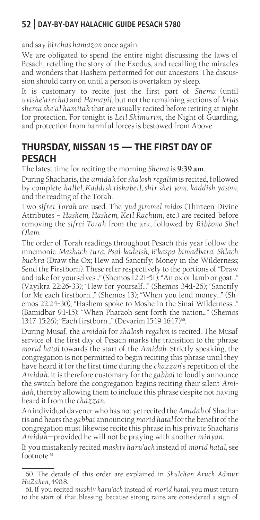and say *birchas hamazon* once again.

We are obligated to spend the entire night discussing the laws of Pesach, retelling the story of the Exodus, and recalling the miracles and wonders that Hashem performed for our ancestors. The discussion should carry on until a person is overtaken by sleep.

It is customary to recite just the first part of *Shema* (until *uvishe'arecha*) and *Hamapil*, but not the remaining sections of *krias shema she'al hamitah* that are usually recited before retiring at night for protection. For tonight is *Leil Shimurim*, the Night of Guarding, and protection from harmful forces is bestowed from Above.

# **THURSDAY, NISSAN 15 — THE FIRST DAY OF PESACH**

The latest time for reciting the morning *Shema* is **9:39 am**.

During Shacharis, the *amidah* for *shalosh regalim* is recited, followed by complete *hallel, Kaddish tiskabeil, shir shel yom, kaddish yasom*, and the reading of the Torah.

Two *sifrei Torah* are used. The *yud gimmel midos* (Thirteen Divine Attributes – *Hashem, Hashem, Keil Rachum*, etc.) are recited before removing the *sifrei Torah* from the ark, followed by *Ribbono Shel Olam*.

The order of Torah readings throughout Pesach this year follow the mnemonic *Mashach tura, Psal kadeish, B'kaspa bimadbara, Shlach buchra* (Draw the Ox; Hew and Sanctify; Money in the Wilderness; Send the Firstborn). These refer respectively to the portions of "Draw and take for yourselves..." (Shemos 12:21-51); "An ox or lamb or goat..." (Vayikra 22:26-33); "Hew for yourself..." (Shemos 34:1-26); "Sanctify for Me each firstborn..." (Shemos 13); "When you lend money..." (Shemos 22:24-30); "Hashem spoke to Moshe in the Sinai Wilderness..." (Bamidbar 9:1-15); "When Pharaoh sent forth the nation..." (Shemos 13:17-15:26); "Each firstborn..." (Devarim 15:19-16:17)<sup>60</sup>.

During Musaf, the *amidah* for *shalosh regalim* is recited. The Musaf service of the first day of Pesach marks the transition to the phrase *morid hatal* towards the start of the *Amidah*. Strictly speaking, the congregation is not permitted to begin reciting this phrase until they have heard it for the first time during the *chazzan*'s repetition of the *Amidah*. It is therefore customary for the *gabbai* to loudly announce the switch before the congregation begins reciting their silent *Amidah*, thereby allowing them to include this phrase despite not having heard it from the *chazzan*.

An individual davener who has not yet recited the *Amidah* of Shacharis and hears the *gabbai* announcing *morid hatal* for the benefit of the congregation must likewise recite this phrase in his private Shacharis *Amidah—*provided he will not be praying with another *minyan*.

If you mistakenly recited *mashiv haru'ach* instead of *morid hatal*, see footnote.<sup>61</sup>

<sup>60.</sup> The details of this order are explained in *Shulchan Aruch Admur HaZaken*, 490:8.

<sup>61.</sup> If you recited *mashiv haru'ach* instead of *morid hatal,* you must return to the start of that blessing, because strong rains are considered a sign of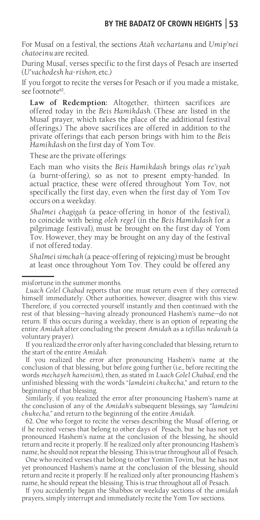For Musaf on a festival, the sections *Atah vechartanu* and *Umip'nei chatoeinu* are recited.

During Musaf, verses specific to the first days of Pesach are inserted (*U'vachodesh ha-rishon*, etc.)

If you forgot to recite the verses for Pesach or if you made a mistake, see footnote<sup>62</sup>.

**Law of Redemption:** Altogether, thirteen sacrifices are offered today in the *Beis Hamikdash.* (These are listed in the Musaf prayer, which takes the place of the additional festival offerings.) The above sacrifices are offered in addition to the private offerings that each person brings with him to the *Beis Hamikdash* on the first day of Yom Tov.

These are the private offerings:

Each man who visits the *Beis Hamikdash* brings *olas re'iyah*  (a burnt-offering), so as not to present empty-handed. In actual practice, these were offered throughout Yom Tov, not specifically the first day, even when the first day of Yom Tov occurs on a weekday.

*Shalmei chagigah* (a peace-offering in honor of the festival), to coincide with being *oleh regel* (in the *Beis Hamikdash* for a pilgrimage festival)*,* must be brought on the first day of Yom Tov. However, they may be brought on any day of the festival if not offered today.

S*halmei simchah* (a peace-offering of rejoicing) must be brought at least once throughout Yom Tov. They could be offered any

#### misfortune in the summer months.

If you realized the error only after having concluded that blessing, return to the start of the entire *Amidah*.

If you realized the error after pronouncing Hashem's name at the conclusion of that blessing, but before going further (i.e., before reciting the words *mechayeh hameisim*), then, as stated in *Luach Colel Chabad*, end the unfinished blessing with the words "*lamdeini chukecha*," and return to the beginning of that blessing.

Similarly, if you realized the error after pronouncing Hashem's name at the conclusion of any of the *Amidah*'s subsequent blessings, say *"lamdeini chukecha*," and return to the beginning of the entire *Amidah*.

62. One who forgot to recite the verses describing the Musaf offering, or if he recited verses that belong to other days of Pesach, but he has not yet pronounced Hashem's name at the conclusion of the blessing, he should return and recite it properly. If he realized only after pronouncing Hashem's name, he should not repeat the blessing. This is true throughout all of Pesach.

One who recited verses that belong to other Yomim Tovim, but he has not yet pronounced Hashem's name at the conclusion of the blessing, should return and recite it properly. If he realized only after pronouncing Hashem's name, he should repeat the blessing. This is true throughout all of Pesach.

If you accidently began the Shabbos or weekday sections of the *amidah*  prayers, simply interrupt and immediately recite the Yom Tov sections.

*Luach Colel Chabad* reports that one must return even if they corrected himself immediately. Other authorities, however, disagree with this view. Therefore, if you corrected yourself instantly and then continued with the rest of that blessing—having already pronounced Hashem's name—do not return. If this occurs during a weekday, there is an option of repeating the entire *Amidah* after concluding the present *Amidah* as a *tefillas nedavah* (a voluntary prayer).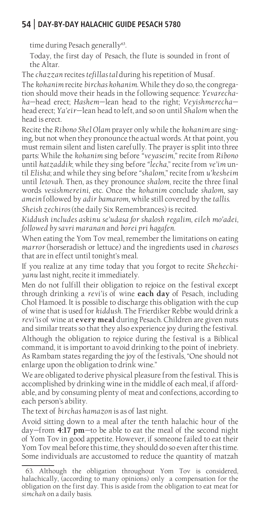time during Pesach generally<sup>63</sup>.

Today, the first day of Pesach, the flute is sounded in front of the Altar.

The *chazzan* recites *tefillas tal* during his repetition of Musaf.

The *kohanim* recite *birchas kohanim.* While they do so, the congregation should move their heads in the following sequence: *Yevarechaha*—head erect; *Hashem—*lean head to the right; *Veyishmerecha* head erect; *Ya'eir—*lean head to left, and so on until *Shalom* when the head is erect.

Recite the *Ribono Shel Olam* prayer only while the *kohanim* are singing, but not when they pronounce the actual words. At that point, you must remain silent and listen carefully. The prayer is split into three parts: While the *kohanim* sing before *"veyaseim*," recite from *Ribono*  until *hatzaddik*; while they sing before *"lecha*," recite from *ve'im* until *Elisha*; and while they sing before *"shalom*," recite from *u'kesheim*  until *letovah*. Then, as they pronounce *shalom*, recite the three final words *vesishmereini*, etc. Once the *kohanim* conclude *shalom*, say *amein* followed by *adir bamarom*, while still covered by the *tallis*.

*Sheish zechiros* (the daily Six Remembrances) is recited.

*Kiddush includes askinu se'udasa for shalosh regalim, eileh mo'adei, followed by savri maranan* and *borei pri hagafen*.

When eating the Yom Tov meal, remember the limitations on eating *marror* (horseradish or lettuce) and the ingredients used in *charoses*  that are in effect until tonight's meal.

If you realize at any time today that you forgot to recite *Shehechiyanu* last night, recite it immediately.

Men do not fulfill their obligation to rejoice on the festival except through drinking a *revi'is* of wine **each day** of Pesach, including Chol Hamoed. It is possible to discharge this obligation with the cup of wine that is used for *kiddush*. The Frierdiker Rebbe would drink a *revi'is* of wine at **every meal** during Pesach. Children are given nuts and similar treats so that they also experience joy during the festival. Although the obligation to rejoice during the festival is a Biblical command, it is important to avoid drinking to the point of inebriety. As Rambam states regarding the joy of the festivals, "One should not enlarge upon the obligation to drink wine."

We are obligated to derive physical pleasure from the festival. This is accomplished by drinking wine in the middle of each meal, if affordable, and by consuming plenty of meat and confections, according to each person's ability.

The text of *birchas hamazon* is as of last night.

Avoid sitting down to a meal after the tenth halachic hour of the day—from **4:17 pm**—to be able to eat the meal of the second night of Yom Tov in good appetite. However, if someone failed to eat their Yom Tov meal before this time, they should do so even after this time. Some individuals are accustomed to reduce the quantity of matzah

<sup>63.</sup> Although the obligation throughout Yom Tov is considered, halachically, (according to many opinions) only a compensation for the obligation on the first day. This is aside from the obligation to eat meat for *simchah* on a daily basis.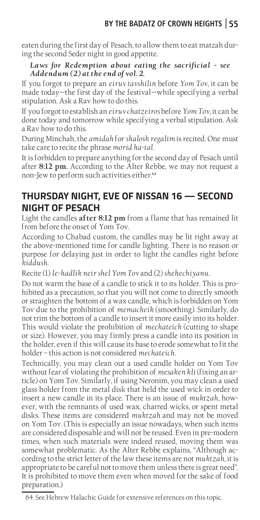eaten during the first day of Pesach, to allow them to eat matzah during the second Seder night in good appetite.

#### *Laws for Redemption about eating the sacrificial - see Addendum (2) at the end of vol. 2.*

If you forgot to prepare an *eiruv tavshilin* before *Yom Tov*, it can be made today—the first day of the festival—while specifying a verbal stipulation. Ask a Rav how to do this.

If you forgot to establish an *eiruv chatzeiros* before *Yom Tov*, it can be done today and tomorrow while specifying a verbal stipulation. Ask a Rav how to do this.

During Minchah, the *amidah* for *shalosh regalim* is recited. One must take care to recite the phrase *morid ha-tal*.

It is forbidden to prepare anything for the second day of Pesach until after **8:12 pm.** According to the Alter Rebbe, we may not request a non-Jew to perform such activities either.<sup>64</sup>

# **THURSDAY NIGHT, EVE OF NISSAN 16 — SECOND NIGHT OF PESACH**

Light the candles **after 8:12 pm** from a flame that has remained lit from before the onset of Yom Tov.

According to Chabad custom, the candles may be lit right away at the above-mentioned time for candle lighting. There is no reason or purpose for delaying just in order to light the candles right before *kiddush*.

Recite (1) *le-hadlik neir shel Yom Tov* and (2) *shehechiyanu*.

Do not warm the base of a candle to stick it to its holder. This is prohibited as a precaution, so that you will not come to directly smooth or straighten the bottom of a wax candle, which is forbidden on Yom Tov due to the prohibition of *memacheik* (smoothing). Similarly, do not trim the bottom of a candle to insert it more easily into its holder. This would violate the prohibition of *mechateich* (cutting to shape or size). However, you may firmly press a candle into its position in the holder, even if this will cause its base to erode somewhat to fit the holder – this action is not considered *mechateich*.

Technically, you may clean out a used candle holder on Yom Tov without fear of violating the prohibition of *mesaken kli* (fixing an article) on Yom Tov. Similarly, if using Neronim, you may clean a used glass holder from the metal disk that held the used wick in order to insert a new candle in its place. There is an issue of *muktzah*, however, with the remnants of used wax, charred wicks, or spent metal disks. These items are considered *muktzah* and may not be moved on Yom Tov. (This is especially an issue nowadays, when such items are considered disposable and will not be reused. Even in pre-modern times, when such materials were indeed reused, moving them was somewhat problematic. As the Alter Rebbe explains, "Although according to the strict letter of the law these items are not *muktzah*, it is appropriate to be careful not to move them unless there is great need". It is prohibited to move them even when moved for the sake of food preparation.)

<sup>64.</sup> See Hebrew Halachic Guide for extensive references on this topic.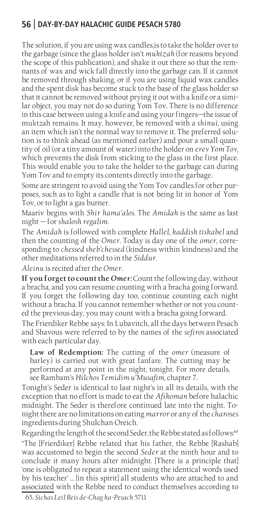The solution, if you are using wax candles,is to take the holder over to the garbage (since the glass holder isn't *muktzah* (for reasons beyond the scope of this publication), and shake it out there so that the remnants of wax and wick fall directly into the garbage can. If it cannot be removed through shaking, or if you are using liquid wax candles and the spent disk has become stuck to the base of the glass holder so that it cannot be removed without prying it out with a knife or a similar object, you may not do so during Yom Tov. There is no difference in this case between using a knife and using your fingers—the issue of muktzah remains. It may, however, be removed with a *shinui*, using an item which isn't the normal way to remove it. The preferred solution is to think ahead (as mentioned earlier) and pour a small quantity of oil (or a tiny amount of water) into the holder on *erev Yom Tov,* which prevents the disk from sticking to the glass in the first place. This would enable you to take the holder to the garbage can during Yom Tov and to empty its contents directly into the garbage.

Some are stringent to avoid using the Yom Tov candles for other purposes, such as to light a candle that is not being lit in honor of Yom Tov, or to light a gas burner.

Maariv begins with *Shir hama'alos*. The *Amidah* is the same as last night — for *shalosh regalim*.

The *Amidah* is followed with complete *Hallel*, *kaddish tiskabel* and then the counting of the *Omer*. Today is day one of the *omer*, corresponding to *chessed sheb'chessed* (kindness within kindness) and the other meditations referred to in the *Siddur*.

*Aleinu* is recited after the *Omer*.

**If you forget to count the** *Omer:*Count the following day, without a bracha, and you can resume counting with a bracha going forward. If you forget the following day too, continue counting each night without a bracha. If you cannot remember whether or not you counted the previous day, you may count with a bracha going forward.

The Frierdiker Rebbe says: In Lubavitch, all the days between Pesach and Shavous were referred to by the names of the *sefiros* associated with each particular day.

**Law of Redemption:** The cutting of the *omer* (measure of barley) is carried out with great fanfare. The cutting may be performed at any point in the night, tonight. For more details, see Rambam's *Hilchos Temidim u'Musafim*, chapter 7.

Tonight's Seder is identical to last night's in all its details, with the exception that no effort is made to eat the *Afikoman* before halachic midnight. The Seder is therefore continued late into the night. Tonight there are no limitations on eating *marror* or any of the *charoses*  ingredients during Shulchan Oreich.

Regarding the length of the second Seder, the Rebbe stated as follows:<sup>65</sup>

"The [Frierdiker] Rebbe related that his father, the Rebbe [Rashab] was accustomed to begin the second *Seder* at the ninth hour and to conclude it many hours after midnight. [There is a principle that] 'one is obligated to repeat a statement using the identical words used by his teacher' … [in this spirit] all students who are attached to and associated with the Rebbe need to conduct themselves according to

65. *Sichas Leil Beis de-Chag ha-Pesach* 5711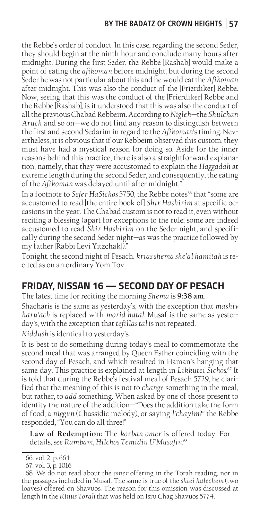#### **BY THE BADATZ OF CROWN HEIGHTS 57**

the Rebbe's order of conduct. In this case, regarding the second Seder, they should begin at the ninth hour and conclude many hours after midnight. During the first Seder, the Rebbe [Rashab] would make a point of eating the *afikoman* before midnight, but during the second Seder he was not particular about this and he would eat the *Afikoman*  after midnight. This was also the conduct of the [Frierdiker] Rebbe. Now, seeing that this was the conduct of the [Frierdiker] Rebbe and the Rebbe [Rashab], is it understood that this was also the conduct of all the previous Chabad Rebbeim. According to *Nigleh*—the *Shulchan Aruch* and so on—we do not find any reason to distinguish between the first and second Sedarim in regard to the *Afikoman*'s timing. Nevertheless, it is obvious that if our Rebbeim observed this custom, they must have had a mystical reason for doing so. Aside for the inner reasons behind this practice, there is also a straightforward explanation, namely, that they were accustomed to explain the *Haggadah* at extreme length during the second Seder, and consequently, the eating of the *Afikoman* was delayed until after midnight."

In a footnote to *Sefer HaSichos* 5750, the Rebbe notes<sup>66</sup> that "some are accustomed to read [the entire book of] *Shir Hashirim* at specific occasions in the year. The Chabad custom is not to read it, even without reciting a blessing (apart for exceptions to the rule; some are indeed accustomed to read *Shir Hashirim* on the Seder night, and specifically during the second Seder night—as was the practice followed by my father [Rabbi Levi Yitzchak])."

Tonight, the second night of Pesach, *krias shema she'al hamitah* is recited as on an ordinary Yom Tov.

### **FRIDAY, NISSAN 16 — SECOND DAY OF PESACH**

The latest time for reciting the morning *Shema* is **9:38 am**.

Shacharis is the same as yesterday's, with the exception that *mashiv haru'ach* is replaced with *morid hatal*. Musaf is the same as yesterday's, with the exception that *tefillas tal* is not repeated.

*Kiddush* is identical to yesterday's.

It is best to do something during today's meal to commemorate the second meal that was arranged by Queen Esther coinciding with the second day of Pesach, and which resulted in Haman's hanging that same day. This practice is explained at length in *Likkutei Sichos.*<sup>67</sup> It is told that during the Rebbe's festival meal of Pesach 5729, he clarified that the meaning of this is not to *change* something in the meal, but rather, to *add* something. When asked by one of those present to identity the nature of the addition—"Does the addition take the form of food, a *niggun* (Chassidic melody), or saying *l'chayim*?" the Rebbe responded, "You can do all three!"

**Law of Redemption:** The *korban omer* is offered today. For details, see *Rambam*, *Hilchos Temidin U'Musafin.*<sup>68</sup>

<sup>66.</sup> vol. 2, p. 664

<sup>67.</sup> vol. 3, p. 1016

<sup>68.</sup> We do not read about the *omer* offering in the Torah reading, nor in the passages included in Musaf. The same is true of the *shtei halechem* (two loaves) offered on Shavuos. The reason for this omission was discussed at length in the *Kinus Torah* that was held on Isru Chag Shavuos 5774.